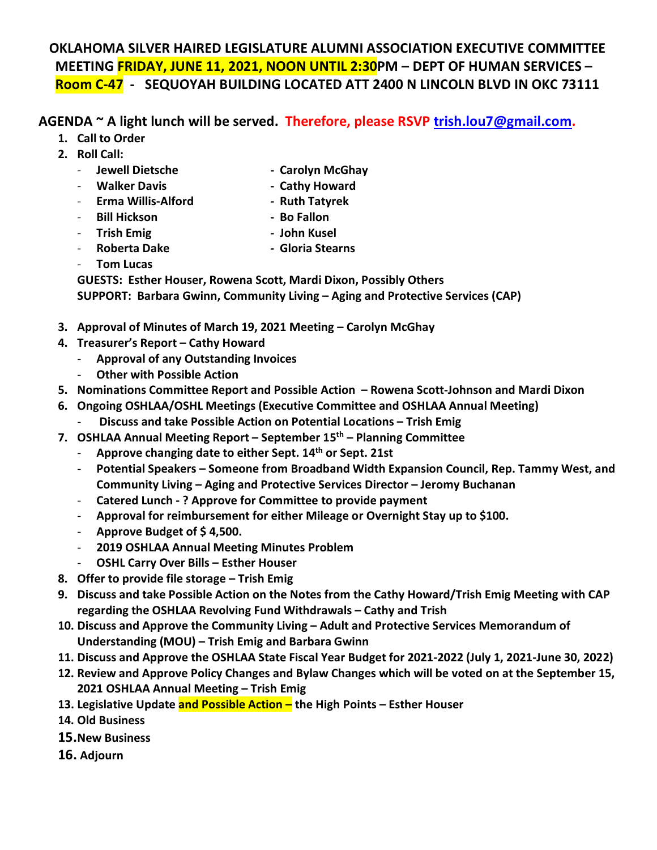### **OKLAHOMA SILVER HAIRED LEGISLATURE ALUMNI ASSOCIATION EXECUTIVE COMMITTEE MEETING FRIDAY, JUNE 11, 2021, NOON UNTIL 2:30PM – DEPT OF HUMAN SERVICES – Room C-47 - SEQUOYAH BUILDING LOCATED ATT 2400 N LINCOLN BLVD IN OKC 73111**

### **AGENDA ~ A light lunch will be served. Therefore, please RSVP [trish.lou7@gmail.com.](mailto:trish.lou7@gmail.com)**

- **1. Call to Order**
- **2. Roll Call:**
	-
	- **Jewell Dietsche Carolyn McGhay**
	-
	- Walker Davis **Cathy Howard**
	- **Erma Willis-Alford Ruth Tatyrek**
	- **Bill Hickson Bo Fallon**
		-
	- **Trish Emig John Kusel**
		-
	- **Roberta Dake Gloria Stearns**
	- **Tom Lucas**

**GUESTS: Esther Houser, Rowena Scott, Mardi Dixon, Possibly Others SUPPORT: Barbara Gwinn, Community Living – Aging and Protective Services (CAP)** 

- **3. Approval of Minutes of March 19, 2021 Meeting – Carolyn McGhay**
- **4. Treasurer's Report – Cathy Howard**
	- **Approval of any Outstanding Invoices**
	- **Other with Possible Action**
- **5. Nominations Committee Report and Possible Action Rowena Scott-Johnson and Mardi Dixon**
- **6. Ongoing OSHLAA/OSHL Meetings (Executive Committee and OSHLAA Annual Meeting)**
	- **Discuss and take Possible Action on Potential Locations – Trish Emig**
- **7. OSHLAA Annual Meeting Report – September 15th – Planning Committee**
	- **Approve changing date to either Sept. 14th or Sept. 21st**
	- **Potential Speakers – Someone from Broadband Width Expansion Council, Rep. Tammy West, and Community Living – Aging and Protective Services Director – Jeromy Buchanan**
	- **Catered Lunch - ? Approve for Committee to provide payment**
	- **Approval for reimbursement for either Mileage or Overnight Stay up to \$100.**
	- **Approve Budget of \$ 4,500.**
	- **2019 OSHLAA Annual Meeting Minutes Problem**
	- **OSHL Carry Over Bills – Esther Houser**
- **8. Offer to provide file storage – Trish Emig**
- **9. Discuss and take Possible Action on the Notes from the Cathy Howard/Trish Emig Meeting with CAP regarding the OSHLAA Revolving Fund Withdrawals – Cathy and Trish**
- **10. Discuss and Approve the Community Living – Adult and Protective Services Memorandum of Understanding (MOU) – Trish Emig and Barbara Gwinn**
- **11. Discuss and Approve the OSHLAA State Fiscal Year Budget for 2021-2022 (July 1, 2021-June 30, 2022)**
- **12. Review and Approve Policy Changes and Bylaw Changes which will be voted on at the September 15, 2021 OSHLAA Annual Meeting – Trish Emig**
- **13. Legislative Update and Possible Action – the High Points – Esther Houser**
- **14. Old Business**
- **15.New Business**
- **16. Adjourn**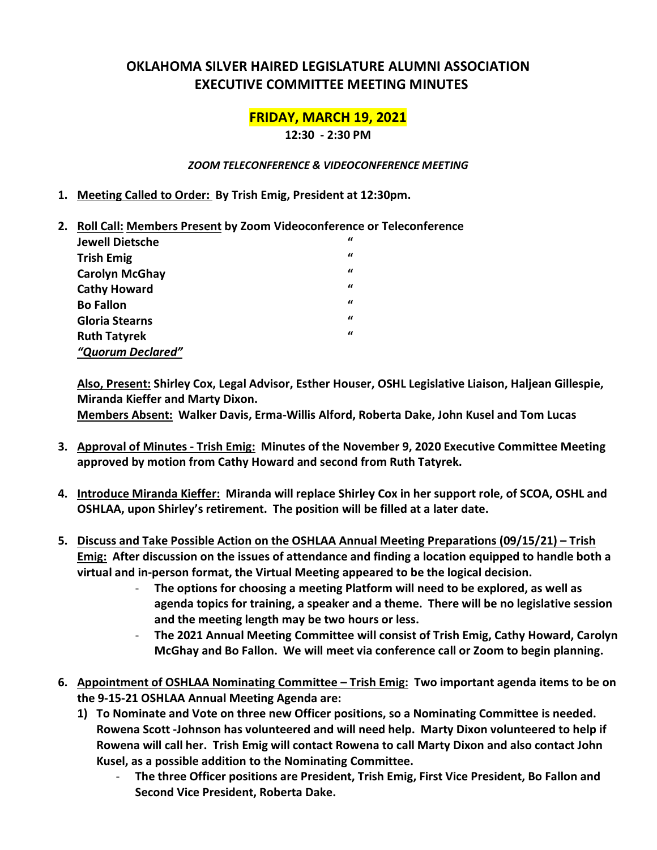### **OKLAHOMA SILVER HAIRED LEGISLATURE ALUMNI ASSOCIATION EXECUTIVE COMMITTEE MEETING MINUTES**

### **FRIDAY, MARCH 19, 2021**

**12:30 - 2:30 PM**

#### *ZOOM TELECONFERENCE & VIDEOCONFERENCE MEETING*

- **1. Meeting Called to Order: By Trish Emig, President at 12:30pm.**
- **2. Roll Call: Members Present by Zoom Videoconference or Teleconference**

| <b>Jewell Dietsche</b> | "        |
|------------------------|----------|
| <b>Trish Emig</b>      | $\bf{u}$ |
| <b>Carolyn McGhay</b>  | $\bf{u}$ |
| <b>Cathy Howard</b>    | $\bf{u}$ |
| <b>Bo Fallon</b>       | $\bf{u}$ |
| <b>Gloria Stearns</b>  | "        |
| <b>Ruth Tatyrek</b>    | $\bf{u}$ |
| "Quorum Declared"      |          |

**Also, Present: Shirley Cox, Legal Advisor, Esther Houser, OSHL Legislative Liaison, Haljean Gillespie, Miranda Kieffer and Marty Dixon.**

**Members Absent: Walker Davis, Erma-Willis Alford, Roberta Dake, John Kusel and Tom Lucas** 

- **3. Approval of Minutes - Trish Emig: Minutes of the November 9, 2020 Executive Committee Meeting approved by motion from Cathy Howard and second from Ruth Tatyrek.**
- **4. Introduce Miranda Kieffer: Miranda will replace Shirley Cox in her support role, of SCOA, OSHL and OSHLAA, upon Shirley's retirement. The position will be filled at a later date.**
- **5. Discuss and Take Possible Action on the OSHLAA Annual Meeting Preparations (09/15/21) Trish Emig: After discussion on the issues of attendance and finding a location equipped to handle both a virtual and in-person format, the Virtual Meeting appeared to be the logical decision.** 
	- **The options for choosing a meeting Platform will need to be explored, as well as agenda topics for training, a speaker and a theme. There will be no legislative session and the meeting length may be two hours or less.**
	- **The 2021 Annual Meeting Committee will consist of Trish Emig, Cathy Howard, Carolyn McGhay and Bo Fallon. We will meet via conference call or Zoom to begin planning.**
- **6. Appointment of OSHLAA Nominating Committee Trish Emig: Two important agenda items to be on the 9-15-21 OSHLAA Annual Meeting Agenda are:**
	- **1) To Nominate and Vote on three new Officer positions, so a Nominating Committee is needed. Rowena Scott -Johnson has volunteered and will need help. Marty Dixon volunteered to help if Rowena will call her. Trish Emig will contact Rowena to call Marty Dixon and also contact John Kusel, as a possible addition to the Nominating Committee.**
		- **The three Officer positions are President, Trish Emig, First Vice President, Bo Fallon and Second Vice President, Roberta Dake.**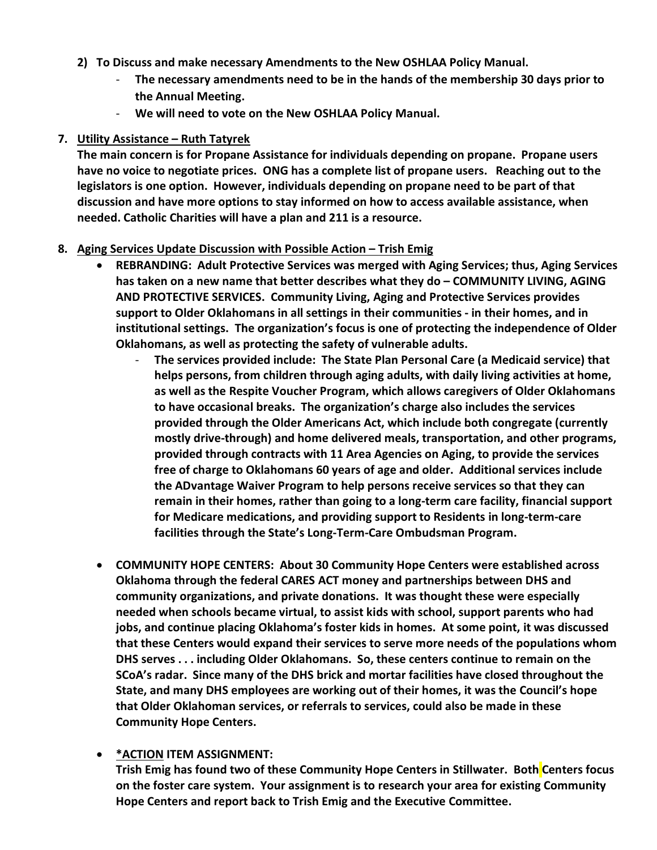- **2) To Discuss and make necessary Amendments to the New OSHLAA Policy Manual.** 
	- **The necessary amendments need to be in the hands of the membership 30 days prior to the Annual Meeting.**
	- **We will need to vote on the New OSHLAA Policy Manual.**

#### **7. Utility Assistance – Ruth Tatyrek**

**The main concern is for Propane Assistance for individuals depending on propane. Propane users have no voice to negotiate prices. ONG has a complete list of propane users. Reaching out to the legislators is one option. However, individuals depending on propane need to be part of that discussion and have more options to stay informed on how to access available assistance, when needed. Catholic Charities will have a plan and 211 is a resource.** 

#### **8. Aging Services Update Discussion with Possible Action – Trish Emig**

- **REBRANDING: Adult Protective Services was merged with Aging Services; thus, Aging Services has taken on a new name that better describes what they do – COMMUNITY LIVING, AGING AND PROTECTIVE SERVICES. Community Living, Aging and Protective Services provides support to Older Oklahomans in all settings in their communities - in their homes, and in institutional settings. The organization's focus is one of protecting the independence of Older Oklahomans, as well as protecting the safety of vulnerable adults.** 
	- **The services provided include: The State Plan Personal Care (a Medicaid service) that helps persons, from children through aging adults, with daily living activities at home, as well as the Respite Voucher Program, which allows caregivers of Older Oklahomans to have occasional breaks. The organization's charge also includes the services provided through the Older Americans Act, which include both congregate (currently mostly drive-through) and home delivered meals, transportation, and other programs, provided through contracts with 11 Area Agencies on Aging, to provide the services free of charge to Oklahomans 60 years of age and older. Additional services include the ADvantage Waiver Program to help persons receive services so that they can remain in their homes, rather than going to a long-term care facility, financial support for Medicare medications, and providing support to Residents in long-term-care facilities through the State's Long-Term-Care Ombudsman Program.**
- **COMMUNITY HOPE CENTERS: About 30 Community Hope Centers were established across Oklahoma through the federal CARES ACT money and partnerships between DHS and community organizations, and private donations. It was thought these were especially needed when schools became virtual, to assist kids with school, support parents who had jobs, and continue placing Oklahoma's foster kids in homes. At some point, it was discussed that these Centers would expand their services to serve more needs of the populations whom DHS serves . . . including Older Oklahomans. So, these centers continue to remain on the SCoA's radar. Since many of the DHS brick and mortar facilities have closed throughout the State, and many DHS employees are working out of their homes, it was the Council's hope that Older Oklahoman services, or referrals to services, could also be made in these Community Hope Centers.**
- **\*ACTION ITEM ASSIGNMENT: Trish Emig has found two of these Community Hope Centers in Stillwater. Both Centers focus on the foster care system. Your assignment is to research your area for existing Community Hope Centers and report back to Trish Emig and the Executive Committee.**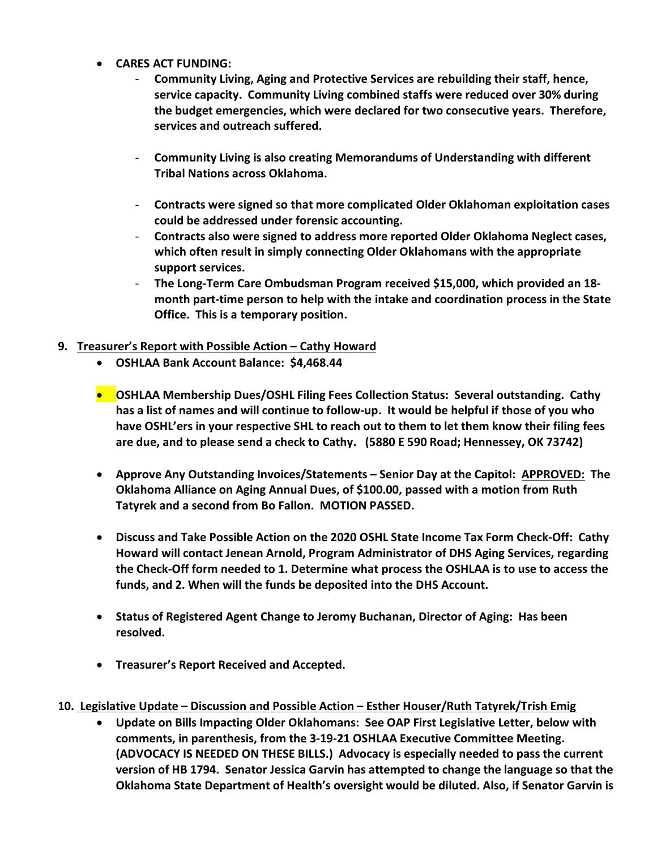- **CARES ACT FUNDING:** 
	- **Community Living, Aging and Protective Services are rebuilding their staff, hence, service capacity. Community Living combined staffs were reduced over 30% during the budget emergencies, which were declared for two consecutive years. Therefore, services and outreach suffered.**
	- **Community Living is also creating Memorandums of Understanding with different Tribal Nations across Oklahoma.**
	- **Contracts were signed so that more complicated Older Oklahoman exploitation cases could be addressed under forensic accounting.**
	- **Contracts also were signed to address more reported Older Oklahoma Neglect cases, which often result in simply connecting Older Oklahomans with the appropriate support services.**
	- **The Long-Term Care Ombudsman Program received \$15,000, which provided an 18 month part-time person to help with the intake and coordination process in the State Office. This is a temporary position.**
- **9. Treasurer's Report with Possible Action – Cathy Howard**
	- **OSHLAA Bank Account Balance: \$4,468.44**
	- **OSHLAA Membership Dues/OSHL Filing Fees Collection Status: Several outstanding. Cathy has a list of names and will continue to follow-up. It would be helpful if those of you who have OSHL'ers in your respective SHL to reach out to them to let them know their filing fees are due, and to please send a check to Cathy. (5880 E 590 Road; Hennessey, OK 73742)**
	- **Approve Any Outstanding Invoices/Statements – Senior Day at the Capitol: APPROVED: The Oklahoma Alliance on Aging Annual Dues, of \$100.00, passed with a motion from Ruth Tatyrek and a second from Bo Fallon. MOTION PASSED.**
	- **Discuss and Take Possible Action on the 2020 OSHL State Income Tax Form Check-Off: Cathy Howard will contact Jenean Arnold, Program Administrator of DHS Aging Services, regarding the Check-Off form needed to 1. Determine what process the OSHLAA is to use to access the funds, and 2. When will the funds be deposited into the DHS Account.**
	- **Status of Registered Agent Change to Jeromy Buchanan, Director of Aging: Has been resolved.**
	- **Treasurer's Report Received and Accepted.**
- **10. Legislative Update – Discussion and Possible Action – Esther Houser/Ruth Tatyrek/Trish Emig**
	- **Update on Bills Impacting Older Oklahomans: See OAP First Legislative Letter, below with comments, in parenthesis, from the 3-19-21 OSHLAA Executive Committee Meeting. (ADVOCACY IS NEEDED ON THESE BILLS.) Advocacy is especially needed to pass the current version of HB 1794. Senator Jessica Garvin has attempted to change the language so that the Oklahoma State Department of Health's oversight would be diluted. Also, if Senator Garvin is**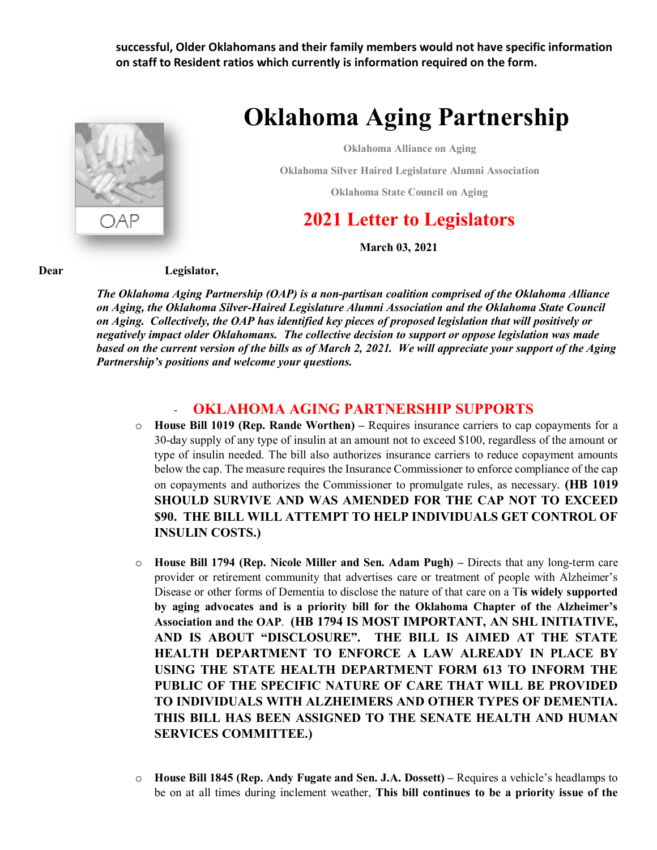**successful, Older Oklahomans and their family members would not have specific information on staff to Resident ratios which currently is information required on the form.** 



# **Oklahoma Aging Partnership**

**Oklahoma Alliance on Aging**

**Oklahoma Silver Haired Legislature Alumni Association**

**Oklahoma State Council on Aging**

## **2021 Letter to Legislators**

 **March 03, 2021**

#### **Dear Legislator,**

*The Oklahoma Aging Partnership (OAP) is a non-partisan coalition comprised of the Oklahoma Alliance on Aging, the Oklahoma Silver-Haired Legislature Alumni Association and the Oklahoma State Council on Aging. Collectively, the OAP has identified key pieces of proposed legislation that will positively or negatively impact older Oklahomans. The collective decision to support or oppose legislation was made based on the current version of the bills as of March 2, 2021. We will appreciate your support of the Aging Partnership's positions and welcome your questions.* 

#### - **OKLAHOMA AGING PARTNERSHIP SUPPORTS**

- o **House Bill 1019 (Rep. Rande Worthen)** Requires insurance carriers to cap copayments for a 30-day supply of any type of insulin at an amount not to exceed \$100, regardless of the amount or type of insulin needed. The bill also authorizes insurance carriers to reduce copayment amounts below the cap. The measure requires the Insurance Commissioner to enforce compliance of the cap on copayments and authorizes the Commissioner to promulgate rules, as necessary. **(HB 1019 SHOULD SURVIVE AND WAS AMENDED FOR THE CAP NOT TO EXCEED \$90. THE BILL WILL ATTEMPT TO HELP INDIVIDUALS GET CONTROL OF INSULIN COSTS.)**
- o **House Bill 1794 (Rep. Nicole Miller and Sen. Adam Pugh)** Directs that any long-term care provider or retirement community that advertises care or treatment of people with Alzheimer's Disease or other forms of Dementia to disclose the nature of that care on a T**is widely supported by aging advocates and is a priority bill for the Oklahoma Chapter of the Alzheimer's Association and the OAP**. **(HB 1794 IS MOST IMPORTANT, AN SHL INITIATIVE, AND IS ABOUT "DISCLOSURE". THE BILL IS AIMED AT THE STATE HEALTH DEPARTMENT TO ENFORCE A LAW ALREADY IN PLACE BY USING THE STATE HEALTH DEPARTMENT FORM 613 TO INFORM THE PUBLIC OF THE SPECIFIC NATURE OF CARE THAT WILL BE PROVIDED TO INDIVIDUALS WITH ALZHEIMERS AND OTHER TYPES OF DEMENTIA. THIS BILL HAS BEEN ASSIGNED TO THE SENATE HEALTH AND HUMAN SERVICES COMMITTEE.)**
- o **House Bill 1845 (Rep. Andy Fugate and Sen. J.A. Dossett) –** Requires a vehicle's headlamps to be on at all times during inclement weather, **This bill continues to be a priority issue of the**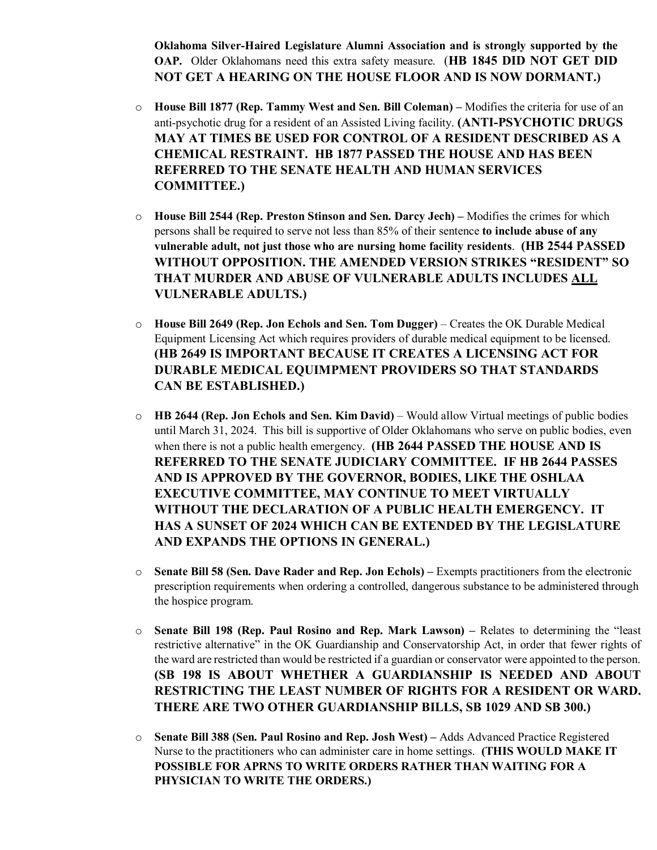**Oklahoma Silver-Haired Legislature Alumni Association and is strongly supported by the OAP.** Older Oklahomans need this extra safety measure. (**HB 1845 DID NOT GET DID NOT GET A HEARING ON THE HOUSE FLOOR AND IS NOW DORMANT.)**

- o **House Bill 1877 (Rep. Tammy West and Sen. Bill Coleman)** Modifies the criteria for use of an anti-psychotic drug for a resident of an Assisted Living facility. **(ANTI-PSYCHOTIC DRUGS MAY AT TIMES BE USED FOR CONTROL OF A RESIDENT DESCRIBED AS A CHEMICAL RESTRAINT. HB 1877 PASSED THE HOUSE AND HAS BEEN REFERRED TO THE SENATE HEALTH AND HUMAN SERVICES COMMITTEE.)**
- o **House Bill 2544 (Rep. Preston Stinson and Sen. Darcy Jech)** Modifies the crimes for which persons shall be required to serve not less than 85% of their sentence **to include abuse of any vulnerable adult, not just those who are nursing home facility residents**. **(HB 2544 PASSED WITHOUT OPPOSITION. THE AMENDED VERSION STRIKES "RESIDENT" SO THAT MURDER AND ABUSE OF VULNERABLE ADULTS INCLUDES ALL VULNERABLE ADULTS.)**
- o **House Bill 2649 (Rep. Jon Echols and Sen. Tom Dugger)** Creates the OK Durable Medical Equipment Licensing Act which requires providers of durable medical equipment to be licensed. **(HB 2649 IS IMPORTANT BECAUSE IT CREATES A LICENSING ACT FOR DURABLE MEDICAL EQUIMPMENT PROVIDERS SO THAT STANDARDS CAN BE ESTABLISHED.)**
- o **HB 2644 (Rep. Jon Echols and Sen. Kim David)** Would allow Virtual meetings of public bodies until March 31, 2024. This bill is supportive of Older Oklahomans who serve on public bodies, even when there is not a public health emergency. **(HB 2644 PASSED THE HOUSE AND IS REFERRED TO THE SENATE JUDICIARY COMMITTEE. IF HB 2644 PASSES AND IS APPROVED BY THE GOVERNOR, BODIES, LIKE THE OSHLAA EXECUTIVE COMMITTEE, MAY CONTINUE TO MEET VIRTUALLY WITHOUT THE DECLARATION OF A PUBLIC HEALTH EMERGENCY. IT HAS A SUNSET OF 2024 WHICH CAN BE EXTENDED BY THE LEGISLATURE AND EXPANDS THE OPTIONS IN GENERAL.)**
- o **Senate Bill 58 (Sen. Dave Rader and Rep. Jon Echols)** Exempts practitioners from the electronic prescription requirements when ordering a controlled, dangerous substance to be administered through the hospice program.
- o **Senate Bill 198 (Rep. Paul Rosino and Rep. Mark Lawson)** Relates to determining the "least restrictive alternative" in the OK Guardianship and Conservatorship Act, in order that fewer rights of the ward are restricted than would be restricted if a guardian or conservator were appointed to the person. **(SB 198 IS ABOUT WHETHER A GUARDIANSHIP IS NEEDED AND ABOUT RESTRICTING THE LEAST NUMBER OF RIGHTS FOR A RESIDENT OR WARD. THERE ARE TWO OTHER GUARDIANSHIP BILLS, SB 1029 AND SB 300.)**
- o **Senate Bill 388 (Sen. Paul Rosino and Rep. Josh West)** Adds Advanced Practice Registered Nurse to the practitioners who can administer care in home settings. **(THIS WOULD MAKE IT POSSIBLE FOR APRNS TO WRITE ORDERS RATHER THAN WAITING FOR A PHYSICIAN TO WRITE THE ORDERS.)**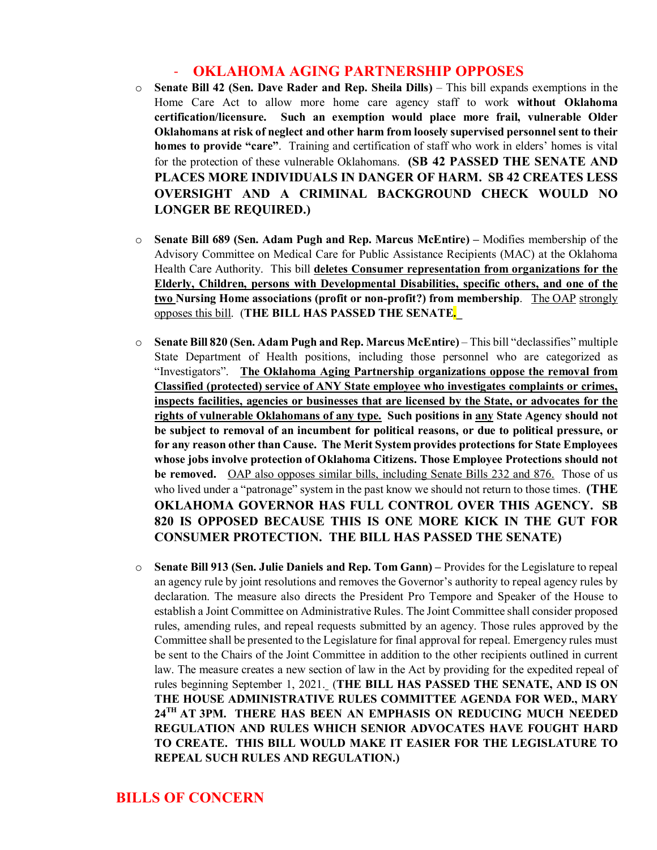#### - **OKLAHOMA AGING PARTNERSHIP OPPOSES**

- o **Senate Bill 42 (Sen. Dave Rader and Rep. Sheila Dills)** This bill expands exemptions in the Home Care Act to allow more home care agency staff to work **without Oklahoma certification/licensure. Such an exemption would place more frail, vulnerable Older Oklahomans at risk of neglect and other harm from loosely supervised personnel sent to their homes to provide "care"**. Training and certification of staff who work in elders' homes is vital for the protection of these vulnerable Oklahomans. **(SB 42 PASSED THE SENATE AND PLACES MORE INDIVIDUALS IN DANGER OF HARM. SB 42 CREATES LESS OVERSIGHT AND A CRIMINAL BACKGROUND CHECK WOULD NO LONGER BE REQUIRED.)**
- o **Senate Bill 689 (Sen. Adam Pugh and Rep. Marcus McEntire)** Modifies membership of the Advisory Committee on Medical Care for Public Assistance Recipients (MAC) at the Oklahoma Health Care Authority. This bill **deletes Consumer representation from organizations for the Elderly, Children, persons with Developmental Disabilities, specific others, and one of the two Nursing Home associations (profit or non-profit?) from membership**. The OAP strongly opposes this bill. (**THE BILL HAS PASSED THE SENATE.\_**
- o **Senate Bill 820 (Sen. Adam Pugh and Rep. Marcus McEntire)** This bill "declassifies" multiple State Department of Health positions, including those personnel who are categorized as "Investigators". **The Oklahoma Aging Partnership organizations oppose the removal from Classified (protected) service of ANY State employee who investigates complaints or crimes, inspects facilities, agencies or businesses that are licensed by the State, or advocates for the rights of vulnerable Oklahomans of any type. Such positions in any State Agency should not be subject to removal of an incumbent for political reasons, or due to political pressure, or for any reason other than Cause. The Merit System provides protections for State Employees whose jobs involve protection of Oklahoma Citizens. Those Employee Protections should not be removed.** OAP also opposes similar bills, including Senate Bills 232 and 876. Those of us who lived under a "patronage" system in the past know we should not return to those times. **(THE OKLAHOMA GOVERNOR HAS FULL CONTROL OVER THIS AGENCY. SB 820 IS OPPOSED BECAUSE THIS IS ONE MORE KICK IN THE GUT FOR CONSUMER PROTECTION. THE BILL HAS PASSED THE SENATE)**
- o **Senate Bill 913 (Sen. Julie Daniels and Rep. Tom Gann) –** Provides for the Legislature to repeal an agency rule by joint resolutions and removes the Governor's authority to repeal agency rules by declaration. The measure also directs the President Pro Tempore and Speaker of the House to establish a Joint Committee on Administrative Rules. The Joint Committee shall consider proposed rules, amending rules, and repeal requests submitted by an agency. Those rules approved by the Committee shall be presented to the Legislature for final approval for repeal. Emergency rules must be sent to the Chairs of the Joint Committee in addition to the other recipients outlined in current law. The measure creates a new section of law in the Act by providing for the expedited repeal of rules beginning September 1, 2021. (**THE BILL HAS PASSED THE SENATE, AND IS ON THE HOUSE ADMINISTRATIVE RULES COMMITTEE AGENDA FOR WED., MARY 24TH AT 3PM. THERE HAS BEEN AN EMPHASIS ON REDUCING MUCH NEEDED REGULATION AND RULES WHICH SENIOR ADVOCATES HAVE FOUGHT HARD TO CREATE. THIS BILL WOULD MAKE IT EASIER FOR THE LEGISLATURE TO REPEAL SUCH RULES AND REGULATION.)**

#### **BILLS OF CONCERN**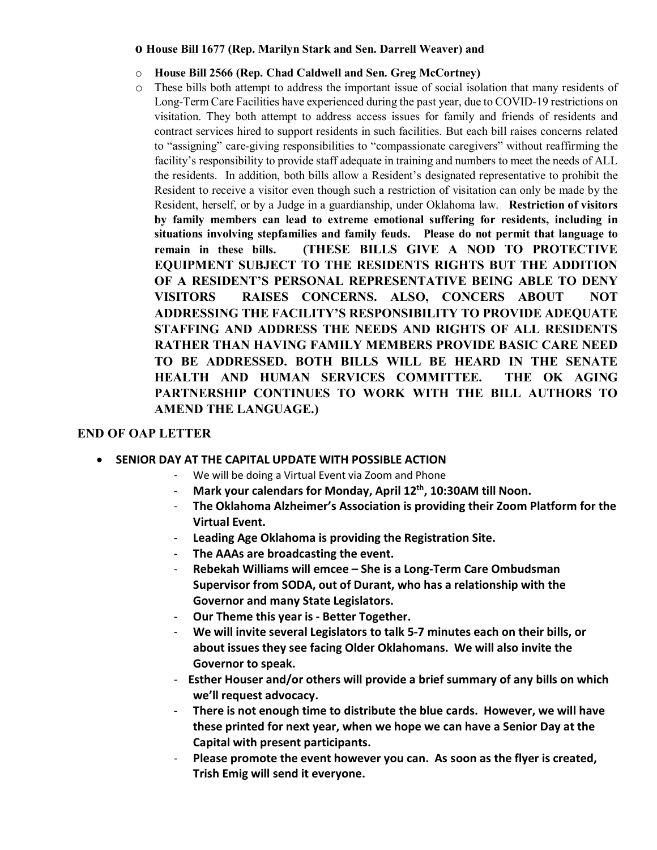#### **o House Bill 1677 (Rep. Marilyn Stark and Sen. Darrell Weaver) and**

- o **House Bill 2566 (Rep. Chad Caldwell and Sen. Greg McCortney)**
- o These bills both attempt to address the important issue of social isolation that many residents of Long-Term Care Facilities have experienced during the past year, due to COVID-19 restrictions on visitation. They both attempt to address access issues for family and friends of residents and contract services hired to support residents in such facilities. But each bill raises concerns related to "assigning" care-giving responsibilities to "compassionate caregivers" without reaffirming the facility's responsibility to provide staff adequate in training and numbers to meet the needs of ALL the residents. In addition, both bills allow a Resident's designated representative to prohibit the Resident to receive a visitor even though such a restriction of visitation can only be made by the Resident, herself, or by a Judge in a guardianship, under Oklahoma law. **Restriction of visitors by family members can lead to extreme emotional suffering for residents, including in situations involving stepfamilies and family feuds. Please do not permit that language to remain in these bills. (THESE BILLS GIVE A NOD TO PROTECTIVE EQUIPMENT SUBJECT TO THE RESIDENTS RIGHTS BUT THE ADDITION OF A RESIDENT'S PERSONAL REPRESENTATIVE BEING ABLE TO DENY VISITORS RAISES CONCERNS. ALSO, CONCERS ABOUT NOT ADDRESSING THE FACILITY'S RESPONSIBILITY TO PROVIDE ADEQUATE STAFFING AND ADDRESS THE NEEDS AND RIGHTS OF ALL RESIDENTS RATHER THAN HAVING FAMILY MEMBERS PROVIDE BASIC CARE NEED TO BE ADDRESSED. BOTH BILLS WILL BE HEARD IN THE SENATE HEALTH AND HUMAN SERVICES COMMITTEE. THE OK AGING PARTNERSHIP CONTINUES TO WORK WITH THE BILL AUTHORS TO AMEND THE LANGUAGE.)**

#### **END OF OAP LETTER**

- **SENIOR DAY AT THE CAPITAL UPDATE WITH POSSIBLE ACTION**
	- We will be doing a Virtual Event via Zoom and Phone
	- Mark your calendars for Monday, April 12<sup>th</sup>, 10:30AM till Noon.
	- **The Oklahoma Alzheimer's Association is providing their Zoom Platform for the Virtual Event.**
	- **Leading Age Oklahoma is providing the Registration Site.**
	- **The AAAs are broadcasting the event.**
	- **Rebekah Williams will emcee She is a Long-Term Care Ombudsman Supervisor from SODA, out of Durant, who has a relationship with the Governor and many State Legislators.**
	- **Our Theme this year is Better Together.**
	- We will invite several Legislators to talk 5-7 minutes each on their bills, or **about issues they see facing Older Oklahomans. We will also invite the Governor to speak.**
	- **Esther Houser and/or others will provide a brief summary of any bills on which we'll request advocacy.**
	- **There is not enough time to distribute the blue cards. However, we will have these printed for next year, when we hope we can have a Senior Day at the Capital with present participants.**
	- **Please promote the event however you can. As soon as the flyer is created, Trish Emig will send it everyone.**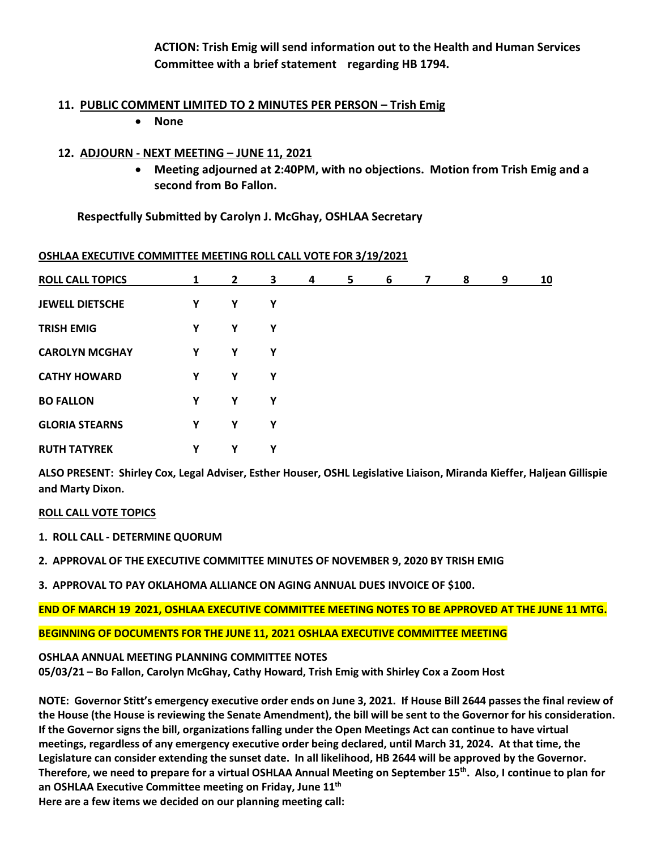**ACTION: Trish Emig will send information out to the Health and Human Services Committee with a brief statement regarding HB 1794.**

#### **11. PUBLIC COMMENT LIMITED TO 2 MINUTES PER PERSON – Trish Emig**

• **None**

#### **12. ADJOURN - NEXT MEETING – JUNE 11, 2021**

• **Meeting adjourned at 2:40PM, with no objections. Motion from Trish Emig and a second from Bo Fallon.**

**Respectfully Submitted by Carolyn J. McGhay, OSHLAA Secretary**

| <b>ROLL CALL TOPICS</b> | 1 | $\mathbf{2}$ | 3 | 4 | 5 | 6 | $\overline{7}$ | 8 | 9 | 10 |
|-------------------------|---|--------------|---|---|---|---|----------------|---|---|----|
| <b>JEWELL DIETSCHE</b>  | Y | Υ            | Υ |   |   |   |                |   |   |    |
| <b>TRISH EMIG</b>       | Y | Υ            | Υ |   |   |   |                |   |   |    |
| <b>CAROLYN MCGHAY</b>   | Υ | Υ            | Υ |   |   |   |                |   |   |    |
| <b>CATHY HOWARD</b>     | Y | Υ            | Υ |   |   |   |                |   |   |    |
| <b>BO FALLON</b>        | Υ | Υ            | Υ |   |   |   |                |   |   |    |
| <b>GLORIA STEARNS</b>   | Y | Y            | Υ |   |   |   |                |   |   |    |
| <b>RUTH TATYREK</b>     | Y | Υ            | Υ |   |   |   |                |   |   |    |

#### **OSHLAA EXECUTIVE COMMITTEE MEETING ROLL CALL VOTE FOR 3/19/2021**

**ALSO PRESENT: Shirley Cox, Legal Adviser, Esther Houser, OSHL Legislative Liaison, Miranda Kieffer, Haljean Gillispie and Marty Dixon.** 

#### **ROLL CALL VOTE TOPICS**

- **1. ROLL CALL DETERMINE QUORUM**
- **2. APPROVAL OF THE EXECUTIVE COMMITTEE MINUTES OF NOVEMBER 9, 2020 BY TRISH EMIG**
- **3. APPROVAL TO PAY OKLAHOMA ALLIANCE ON AGING ANNUAL DUES INVOICE OF \$100.**

**END OF MARCH 19 2021, OSHLAA EXECUTIVE COMMITTEE MEETING NOTES TO BE APPROVED AT THE JUNE 11 MTG.**

**BEGINNING OF DOCUMENTS FOR THE JUNE 11, 2021 OSHLAA EXECUTIVE COMMITTEE MEETING**

#### **OSHLAA ANNUAL MEETING PLANNING COMMITTEE NOTES**

**05/03/21 – Bo Fallon, Carolyn McGhay, Cathy Howard, Trish Emig with Shirley Cox a Zoom Host**

**NOTE: Governor Stitt's emergency executive order ends on June 3, 2021. If House Bill 2644 passes the final review of the House (the House is reviewing the Senate Amendment), the bill will be sent to the Governor for his consideration. If the Governor signs the bill, organizations falling under the Open Meetings Act can continue to have virtual meetings, regardless of any emergency executive order being declared, until March 31, 2024. At that time, the Legislature can consider extending the sunset date. In all likelihood, HB 2644 will be approved by the Governor. Therefore, we need to prepare for a virtual OSHLAA Annual Meeting on September 15th. Also, I continue to plan for an OSHLAA Executive Committee meeting on Friday, June 11th Here are a few items we decided on our planning meeting call:**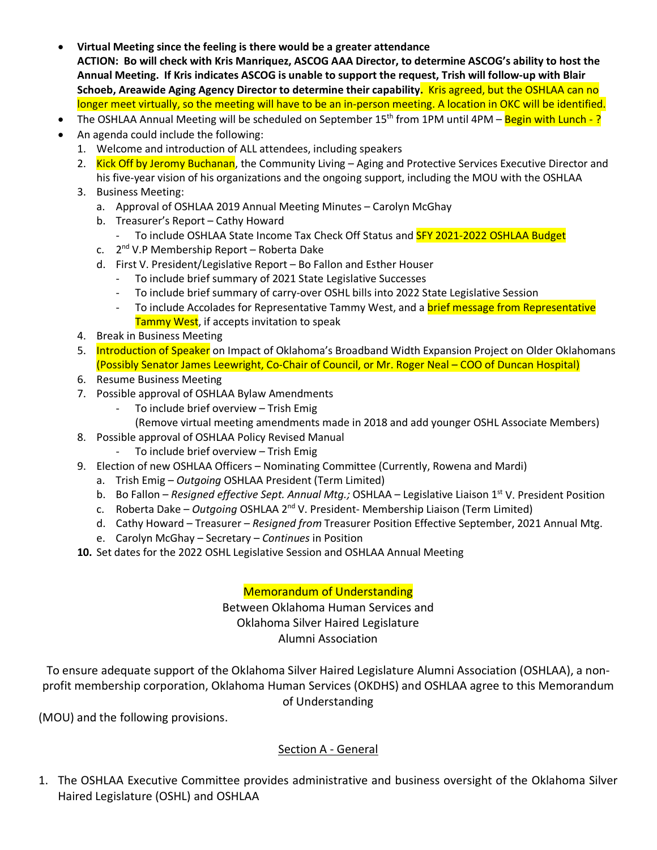- **Virtual Meeting since the feeling is there would be a greater attendance ACTION: Bo will check with Kris Manriquez, ASCOG AAA Director, to determine ASCOG's ability to host the Annual Meeting. If Kris indicates ASCOG is unable to support the request, Trish will follow-up with Blair Schoeb, Areawide Aging Agency Director to determine their capability.** Kris agreed, but the OSHLAA can no longer meet virtually, so the meeting will have to be an in-person meeting. A location in OKC will be identified.
- The OSHLAA Annual Meeting will be scheduled on September  $15<sup>th</sup>$  from 1PM until 4PM Begin with Lunch -?
- An agenda could include the following:
	- 1. Welcome and introduction of ALL attendees, including speakers
	- 2. Kick Off by Jeromy Buchanan, the Community Living Aging and Protective Services Executive Director and his five-year vision of his organizations and the ongoing support, including the MOU with the OSHLAA
	- 3. Business Meeting:
		- a. Approval of OSHLAA 2019 Annual Meeting Minutes Carolyn McGhay
		- b. Treasurer's Report Cathy Howard
			- To include OSHLAA State Income Tax Check Off Status and **SFY 2021-2022 OSHLAA Budget**
		- c.  $2^{nd}$  V.P Membership Report Roberta Dake
		- d. First V. President/Legislative Report Bo Fallon and Esther Houser
			- To include brief summary of 2021 State Legislative Successes
			- To include brief summary of carry-over OSHL bills into 2022 State Legislative Session
			- To include Accolades for Representative Tammy West, and a **brief message from Representative** Tammy West, if accepts invitation to speak
	- 4. Break in Business Meeting
	- 5. Introduction of Speaker on Impact of Oklahoma's Broadband Width Expansion Project on Older Oklahomans (Possibly Senator James Leewright, Co-Chair of Council, or Mr. Roger Neal – COO of Duncan Hospital)
	- 6. Resume Business Meeting
	- 7. Possible approval of OSHLAA Bylaw Amendments
		- To include brief overview Trish Emig
	- (Remove virtual meeting amendments made in 2018 and add younger OSHL Associate Members)
	- 8. Possible approval of OSHLAA Policy Revised Manual
		- To include brief overview Trish Emig
	- 9. Election of new OSHLAA Officers Nominating Committee (Currently, Rowena and Mardi)
		- a. Trish Emig *Outgoing* OSHLAA President (Term Limited)
		- b. Bo Fallon *Resigned effective Sept. Annual Mtg.;* OSHLAA Legislative Liaison 1<sup>st</sup> V. President Position
		- c. Roberta Dake *Outgoing* OSHLAA 2nd V. President- Membership Liaison (Term Limited)
		- d. Cathy Howard Treasurer *Resigned from* Treasurer Position Effective September, 2021 Annual Mtg.
		- e. Carolyn McGhay Secretary *Continues* in Position
	- **10.** Set dates for the 2022 OSHL Legislative Session and OSHLAA Annual Meeting

Memorandum of Understanding

Between Oklahoma Human Services and Oklahoma Silver Haired Legislature Alumni Association

To ensure adequate support of the Oklahoma Silver Haired Legislature Alumni Association (OSHLAA), a nonprofit membership corporation, Oklahoma Human Services (OKDHS) and OSHLAA agree to this Memorandum of Understanding

(MOU) and the following provisions.

#### Section A - General

1. The OSHLAA Executive Committee provides administrative and business oversight of the Oklahoma Silver Haired Legislature (OSHL) and OSHLAA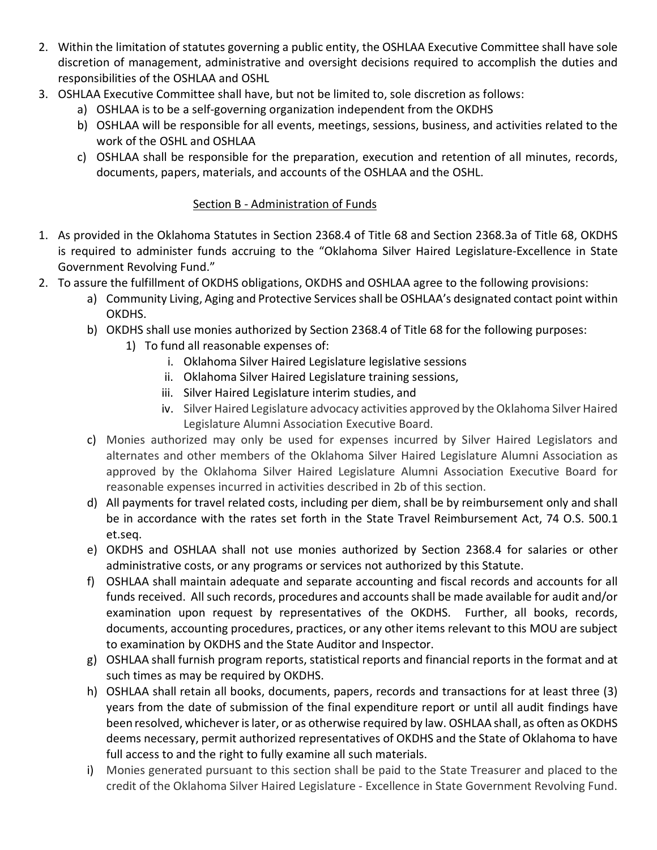- 2. Within the limitation of statutes governing a public entity, the OSHLAA Executive Committee shall have sole discretion of management, administrative and oversight decisions required to accomplish the duties and responsibilities of the OSHLAA and OSHL
- 3. OSHLAA Executive Committee shall have, but not be limited to, sole discretion as follows:
	- a) OSHLAA is to be a self-governing organization independent from the OKDHS
	- b) OSHLAA will be responsible for all events, meetings, sessions, business, and activities related to the work of the OSHL and OSHLAA
	- c) OSHLAA shall be responsible for the preparation, execution and retention of all minutes, records, documents, papers, materials, and accounts of the OSHLAA and the OSHL.

#### Section B - Administration of Funds

- 1. As provided in the Oklahoma Statutes in Section 2368.4 of Title 68 and Section 2368.3a of Title 68, OKDHS is required to administer funds accruing to the "Oklahoma Silver Haired Legislature-Excellence in State Government Revolving Fund."
- 2. To assure the fulfillment of OKDHS obligations, OKDHS and OSHLAA agree to the following provisions:
	- a) Community Living, Aging and Protective Services shall be OSHLAA's designated contact point within OKDHS.
	- b) OKDHS shall use monies authorized by Section 2368.4 of Title 68 for the following purposes:
		- 1) To fund all reasonable expenses of:
			- i. Oklahoma Silver Haired Legislature legislative sessions
			- ii. Oklahoma Silver Haired Legislature training sessions,
			- iii. Silver Haired Legislature interim studies, and
			- iv. Silver Haired Legislature advocacy activities approved by the Oklahoma Silver Haired Legislature Alumni Association Executive Board.
	- c) Monies authorized may only be used for expenses incurred by Silver Haired Legislators and alternates and other members of the Oklahoma Silver Haired Legislature Alumni Association as approved by the Oklahoma Silver Haired Legislature Alumni Association Executive Board for reasonable expenses incurred in activities described in 2b of this section.
	- d) All payments for travel related costs, including per diem, shall be by reimbursement only and shall be in accordance with the rates set forth in the State Travel Reimbursement Act, 74 O.S. 500.1 et.seq.
	- e) OKDHS and OSHLAA shall not use monies authorized by Section 2368.4 for salaries or other administrative costs, or any programs or services not authorized by this Statute.
	- f) OSHLAA shall maintain adequate and separate accounting and fiscal records and accounts for all funds received. All such records, procedures and accounts shall be made available for audit and/or examination upon request by representatives of the OKDHS. Further, all books, records, documents, accounting procedures, practices, or any other items relevant to this MOU are subject to examination by OKDHS and the State Auditor and Inspector.
	- g) OSHLAA shall furnish program reports, statistical reports and financial reports in the format and at such times as may be required by OKDHS.
	- h) OSHLAA shall retain all books, documents, papers, records and transactions for at least three (3) years from the date of submission of the final expenditure report or until all audit findings have been resolved, whichever is later, or as otherwise required by law. OSHLAA shall, as often as OKDHS deems necessary, permit authorized representatives of OKDHS and the State of Oklahoma to have full access to and the right to fully examine all such materials.
	- i) Monies generated pursuant to this section shall be paid to the State Treasurer and placed to the credit of the Oklahoma Silver Haired Legislature - Excellence in State Government Revolving Fund.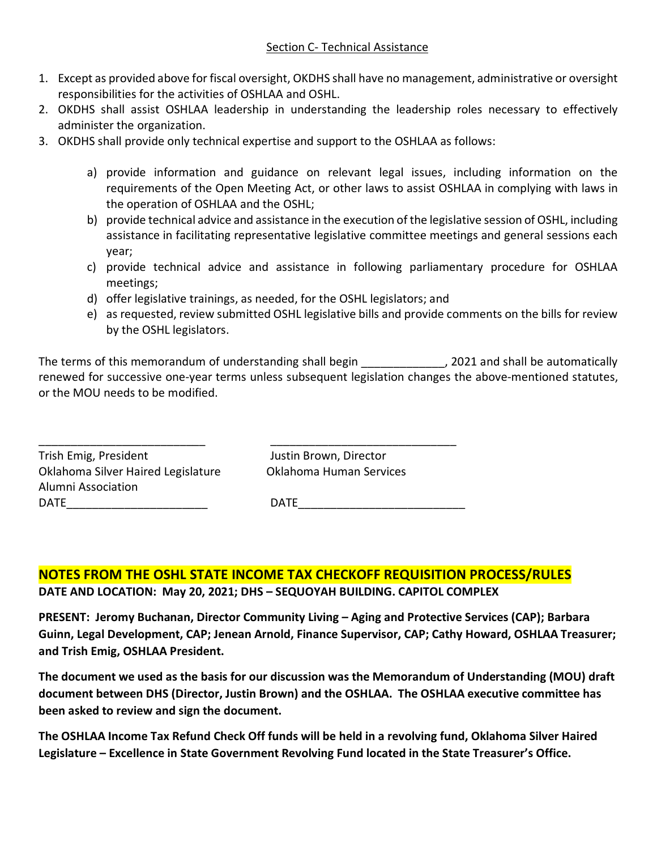- 1. Except as provided above for fiscal oversight, OKDHS shall have no management, administrative or oversight responsibilities for the activities of OSHLAA and OSHL.
- 2. OKDHS shall assist OSHLAA leadership in understanding the leadership roles necessary to effectively administer the organization.
- 3. OKDHS shall provide only technical expertise and support to the OSHLAA as follows:
	- a) provide information and guidance on relevant legal issues, including information on the requirements of the Open Meeting Act, or other laws to assist OSHLAA in complying with laws in the operation of OSHLAA and the OSHL;
	- b) provide technical advice and assistance in the execution of the legislative session of OSHL, including assistance in facilitating representative legislative committee meetings and general sessions each year;
	- c) provide technical advice and assistance in following parliamentary procedure for OSHLAA meetings;
	- d) offer legislative trainings, as needed, for the OSHL legislators; and

\_\_\_\_\_\_\_\_\_\_\_\_\_\_\_\_\_\_\_\_\_\_\_\_\_\_ \_\_\_\_\_\_\_\_\_\_\_\_\_\_\_\_\_\_\_\_\_\_\_\_\_\_\_\_\_

e) as requested, review submitted OSHL legislative bills and provide comments on the bills for review by the OSHL legislators.

The terms of this memorandum of understanding shall begin \_\_\_\_\_\_\_\_\_\_\_\_\_, 2021 and shall be automatically renewed for successive one-year terms unless subsequent legislation changes the above-mentioned statutes, or the MOU needs to be modified.

Trish Emig, President Justin Brown, Director Oklahoma Silver Haired Legislature Oklahoma Human Services Alumni Association

DATE\_\_\_\_\_\_\_\_\_\_\_\_\_\_\_\_\_\_\_\_\_\_ DATE\_\_\_\_\_\_\_\_\_\_\_\_\_\_\_\_\_\_\_\_\_\_\_\_\_\_

**NOTES FROM THE OSHL STATE INCOME TAX CHECKOFF REQUISITION PROCESS/RULES DATE AND LOCATION: May 20, 2021; DHS – SEQUOYAH BUILDING. CAPITOL COMPLEX**

**PRESENT: Jeromy Buchanan, Director Community Living – Aging and Protective Services (CAP); Barbara Guinn, Legal Development, CAP; Jenean Arnold, Finance Supervisor, CAP; Cathy Howard, OSHLAA Treasurer; and Trish Emig, OSHLAA President.**

**The document we used as the basis for our discussion was the Memorandum of Understanding (MOU) draft document between DHS (Director, Justin Brown) and the OSHLAA. The OSHLAA executive committee has been asked to review and sign the document.** 

**The OSHLAA Income Tax Refund Check Off funds will be held in a revolving fund, Oklahoma Silver Haired Legislature – Excellence in State Government Revolving Fund located in the State Treasurer's Office.**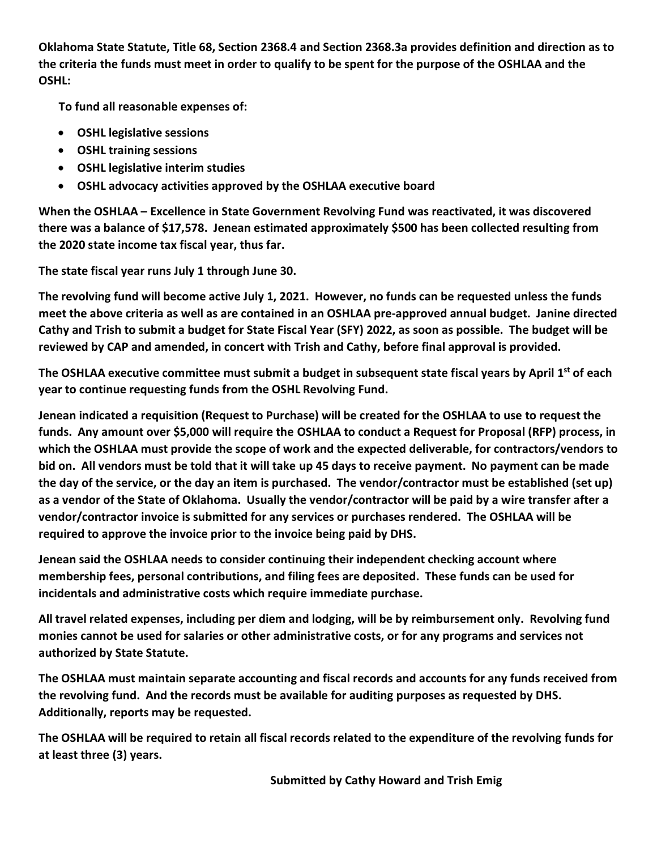**Oklahoma State Statute, Title 68, Section 2368.4 and Section 2368.3a provides definition and direction as to the criteria the funds must meet in order to qualify to be spent for the purpose of the OSHLAA and the OSHL:**

 **To fund all reasonable expenses of:**

- **OSHL legislative sessions**
- **OSHL training sessions**
- **OSHL legislative interim studies**
- **OSHL advocacy activities approved by the OSHLAA executive board**

**When the OSHLAA – Excellence in State Government Revolving Fund was reactivated, it was discovered there was a balance of \$17,578. Jenean estimated approximately \$500 has been collected resulting from the 2020 state income tax fiscal year, thus far.** 

**The state fiscal year runs July 1 through June 30.**

**The revolving fund will become active July 1, 2021. However, no funds can be requested unless the funds meet the above criteria as well as are contained in an OSHLAA pre-approved annual budget. Janine directed Cathy and Trish to submit a budget for State Fiscal Year (SFY) 2022, as soon as possible. The budget will be reviewed by CAP and amended, in concert with Trish and Cathy, before final approval is provided.** 

**The OSHLAA executive committee must submit a budget in subsequent state fiscal years by April 1st of each year to continue requesting funds from the OSHL Revolving Fund.** 

**Jenean indicated a requisition (Request to Purchase) will be created for the OSHLAA to use to request the funds. Any amount over \$5,000 will require the OSHLAA to conduct a Request for Proposal (RFP) process, in which the OSHLAA must provide the scope of work and the expected deliverable, for contractors/vendors to bid on. All vendors must be told that it will take up 45 days to receive payment. No payment can be made the day of the service, or the day an item is purchased. The vendor/contractor must be established (set up) as a vendor of the State of Oklahoma. Usually the vendor/contractor will be paid by a wire transfer after a vendor/contractor invoice is submitted for any services or purchases rendered. The OSHLAA will be required to approve the invoice prior to the invoice being paid by DHS.** 

**Jenean said the OSHLAA needs to consider continuing their independent checking account where membership fees, personal contributions, and filing fees are deposited. These funds can be used for incidentals and administrative costs which require immediate purchase.** 

**All travel related expenses, including per diem and lodging, will be by reimbursement only. Revolving fund monies cannot be used for salaries or other administrative costs, or for any programs and services not authorized by State Statute.** 

**The OSHLAA must maintain separate accounting and fiscal records and accounts for any funds received from the revolving fund. And the records must be available for auditing purposes as requested by DHS. Additionally, reports may be requested.** 

**The OSHLAA will be required to retain all fiscal records related to the expenditure of the revolving funds for at least three (3) years.** 

 **Submitted by Cathy Howard and Trish Emig**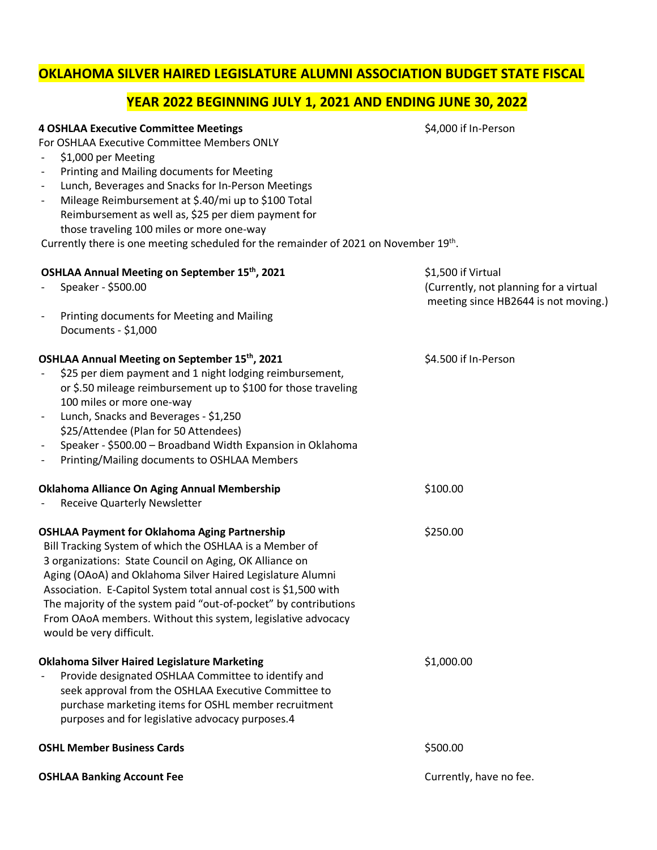### **OKLAHOMA SILVER HAIRED LEGISLATURE ALUMNI ASSOCIATION BUDGET STATE FISCAL**

### **YEAR 2022 BEGINNING JULY 1, 2021 AND ENDING JUNE 30, 2022**

#### **4 OSHLAA Executive Committee Meetings 1 All 2000 if In-Person** \$4,000 if In-Person

For OSHLAA Executive Committee Members ONLY

- \$1,000 per Meeting
- Printing and Mailing documents for Meeting
- Lunch, Beverages and Snacks for In-Person Meetings
- Mileage Reimbursement at \$.40/mi up to \$100 Total Reimbursement as well as, \$25 per diem payment for those traveling 100 miles or more one-way

Currently there is one meeting scheduled for the remainder of 2021 on November 19<sup>th</sup>.

| OSHLAA Annual Meeting on September 15th, 2021<br>Speaker - \$500.00                                                                                                                                                                                                                                                                                                                                                                                                         | \$1,500 if Virtual<br>(Currently, not planning for a virtual<br>meeting since HB2644 is not moving.) |
|-----------------------------------------------------------------------------------------------------------------------------------------------------------------------------------------------------------------------------------------------------------------------------------------------------------------------------------------------------------------------------------------------------------------------------------------------------------------------------|------------------------------------------------------------------------------------------------------|
| Printing documents for Meeting and Mailing<br>$\blacksquare$<br>Documents - \$1,000                                                                                                                                                                                                                                                                                                                                                                                         |                                                                                                      |
| OSHLAA Annual Meeting on September 15th, 2021<br>\$25 per diem payment and 1 night lodging reimbursement,<br>or \$.50 mileage reimbursement up to \$100 for those traveling<br>100 miles or more one-way<br>Lunch, Snacks and Beverages - \$1,250<br>\$25/Attendee (Plan for 50 Attendees)<br>Speaker - \$500.00 - Broadband Width Expansion in Oklahoma<br>Printing/Mailing documents to OSHLAA Members                                                                    | \$4.500 if In-Person                                                                                 |
| Oklahoma Alliance On Aging Annual Membership<br><b>Receive Quarterly Newsletter</b>                                                                                                                                                                                                                                                                                                                                                                                         | \$100.00                                                                                             |
| <b>OSHLAA Payment for Oklahoma Aging Partnership</b><br>Bill Tracking System of which the OSHLAA is a Member of<br>3 organizations: State Council on Aging, OK Alliance on<br>Aging (OAoA) and Oklahoma Silver Haired Legislature Alumni<br>Association. E-Capitol System total annual cost is \$1,500 with<br>The majority of the system paid "out-of-pocket" by contributions<br>From OAoA members. Without this system, legislative advocacy<br>would be very difficult. | \$250.00                                                                                             |
| <b>Oklahoma Silver Haired Legislature Marketing</b><br>Provide designated OSHLAA Committee to identify and<br>seek approval from the OSHLAA Executive Committee to<br>purchase marketing items for OSHL member recruitment<br>purposes and for legislative advocacy purposes.4                                                                                                                                                                                              | \$1,000.00                                                                                           |
| <b>OSHL Member Business Cards</b>                                                                                                                                                                                                                                                                                                                                                                                                                                           | \$500.00                                                                                             |
| <b>OSHLAA Banking Account Fee</b>                                                                                                                                                                                                                                                                                                                                                                                                                                           | Currently, have no fee.                                                                              |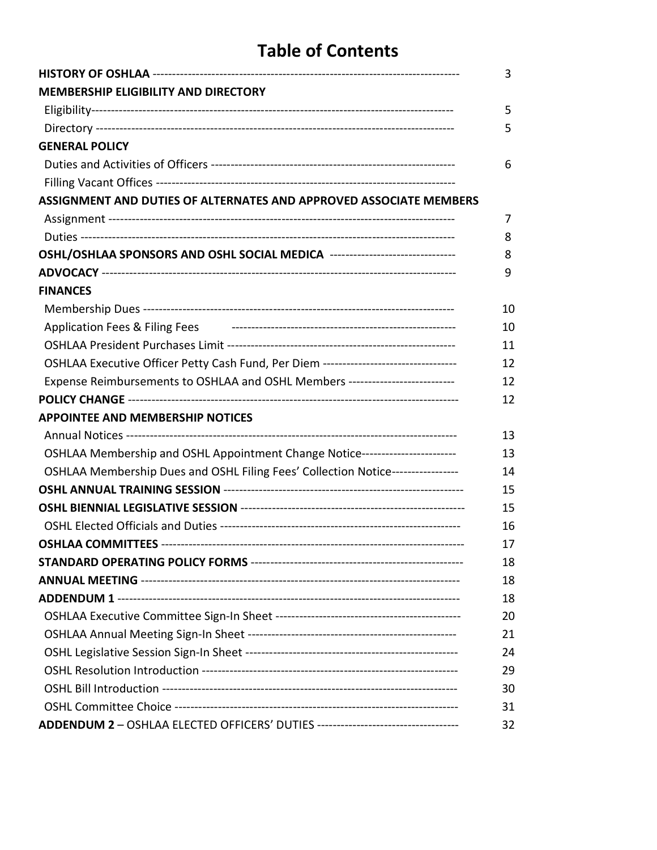# **Table of Contents**

|                                                                                    | 3  |
|------------------------------------------------------------------------------------|----|
| <b>MEMBERSHIP ELIGIBILITY AND DIRECTORY</b>                                        |    |
|                                                                                    | 5  |
|                                                                                    | 5  |
| <b>GENERAL POLICY</b>                                                              |    |
|                                                                                    | 6  |
|                                                                                    |    |
| ASSIGNMENT AND DUTIES OF ALTERNATES AND APPROVED ASSOCIATE MEMBERS                 |    |
|                                                                                    | 7  |
|                                                                                    | 8  |
| OSHL/OSHLAA SPONSORS AND OSHL SOCIAL MEDICA --------------------------------       | 8  |
|                                                                                    | 9  |
| <b>FINANCES</b>                                                                    |    |
|                                                                                    | 10 |
| Application Fees & Filing Fees                                                     | 10 |
|                                                                                    | 11 |
| OSHLAA Executive Officer Petty Cash Fund, Per Diem ------------------------------- | 12 |
| Expense Reimbursements to OSHLAA and OSHL Members ----------------------------     | 12 |
|                                                                                    | 12 |
| <b>APPOINTEE AND MEMBERSHIP NOTICES</b>                                            |    |
|                                                                                    | 13 |
| OSHLAA Membership and OSHL Appointment Change Notice------------------------       | 13 |
| OSHLAA Membership Dues and OSHL Filing Fees' Collection Notice-----------------    | 14 |
|                                                                                    | 15 |
|                                                                                    | 15 |
|                                                                                    | 16 |
|                                                                                    | 17 |
|                                                                                    | 18 |
|                                                                                    | 18 |
|                                                                                    | 18 |
|                                                                                    | 20 |
|                                                                                    | 21 |
|                                                                                    | 24 |
|                                                                                    | 29 |
|                                                                                    | 30 |
|                                                                                    | 31 |
|                                                                                    | 32 |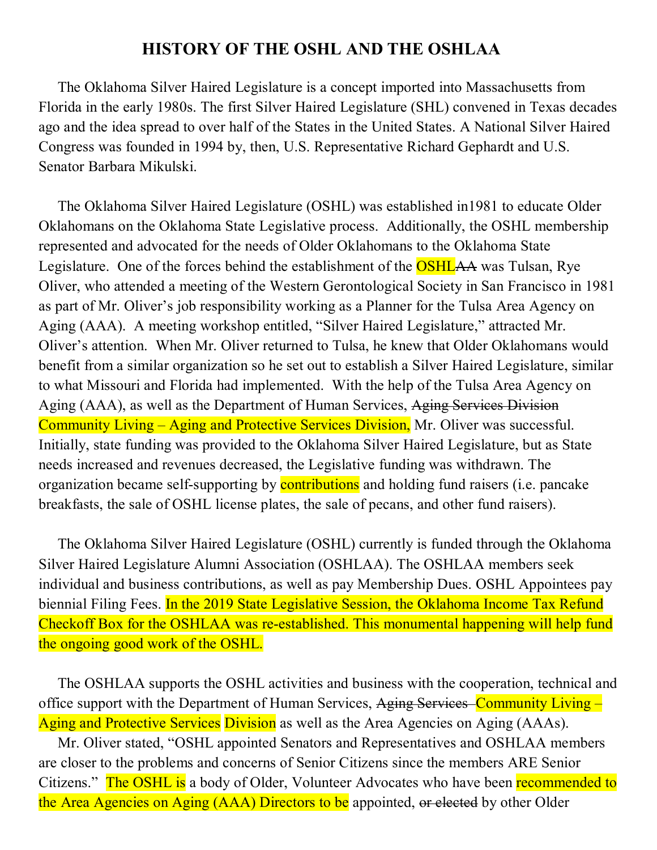## **HISTORY OF THE OSHL AND THE OSHLAA**

 The Oklahoma Silver Haired Legislature is a concept imported into Massachusetts from Florida in the early 1980s. The first Silver Haired Legislature (SHL) convened in Texas decades ago and the idea spread to over half of the States in the United States. A National Silver Haired Congress was founded in 1994 by, then, U.S. Representative Richard Gephardt and U.S. Senator Barbara Mikulski.

 The Oklahoma Silver Haired Legislature (OSHL) was established in1981 to educate Older Oklahomans on the Oklahoma State Legislative process. Additionally, the OSHL membership represented and advocated for the needs of Older Oklahomans to the Oklahoma State Legislature. One of the forces behind the establishment of the **OSHLAA** was Tulsan, Rye Oliver, who attended a meeting of the Western Gerontological Society in San Francisco in 1981 as part of Mr. Oliver's job responsibility working as a Planner for the Tulsa Area Agency on Aging (AAA). A meeting workshop entitled, "Silver Haired Legislature," attracted Mr. Oliver's attention. When Mr. Oliver returned to Tulsa, he knew that Older Oklahomans would benefit from a similar organization so he set out to establish a Silver Haired Legislature, similar to what Missouri and Florida had implemented. With the help of the Tulsa Area Agency on Aging (AAA), as well as the Department of Human Services, Aging Services Division Community Living – Aging and Protective Services Division, Mr. Oliver was successful. Initially, state funding was provided to the Oklahoma Silver Haired Legislature, but as State needs increased and revenues decreased, the Legislative funding was withdrawn. The organization became self-supporting by **contributions** and holding fund raisers (i.e. pancake breakfasts, the sale of OSHL license plates, the sale of pecans, and other fund raisers).

 The Oklahoma Silver Haired Legislature (OSHL) currently is funded through the Oklahoma Silver Haired Legislature Alumni Association (OSHLAA). The OSHLAA members seek individual and business contributions, as well as pay Membership Dues. OSHL Appointees pay biennial Filing Fees. In the 2019 State Legislative Session, the Oklahoma Income Tax Refund Checkoff Box for the OSHLAA was re-established. This monumental happening will help fund the ongoing good work of the OSHL.

 The OSHLAA supports the OSHL activities and business with the cooperation, technical and office support with the Department of Human Services, Aging Services–Community Living – Aging and Protective Services Division as well as the Area Agencies on Aging (AAAs).

 Mr. Oliver stated, "OSHL appointed Senators and Representatives and OSHLAA members are closer to the problems and concerns of Senior Citizens since the members ARE Senior Citizens." The OSHL is a body of Older, Volunteer Advocates who have been recommended to the Area Agencies on Aging (AAA) Directors to be appointed, or elected by other Older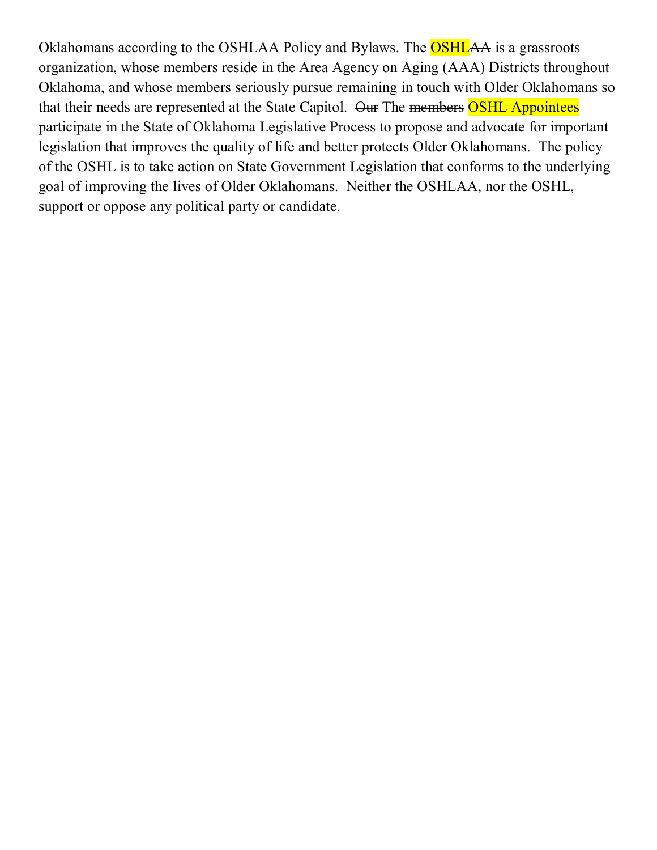Oklahomans according to the OSHLAA Policy and Bylaws. The **OSHLAA** is a grassroots organization, whose members reside in the Area Agency on Aging (AAA) Districts throughout Oklahoma, and whose members seriously pursue remaining in touch with Older Oklahomans so that their needs are represented at the State Capitol. Our The members OSHL Appointees participate in the State of Oklahoma Legislative Process to propose and advocate for important legislation that improves the quality of life and better protects Older Oklahomans. The policy of the OSHL is to take action on State Government Legislation that conforms to the underlying goal of improving the lives of Older Oklahomans. Neither the OSHLAA, nor the OSHL, support or oppose any political party or candidate.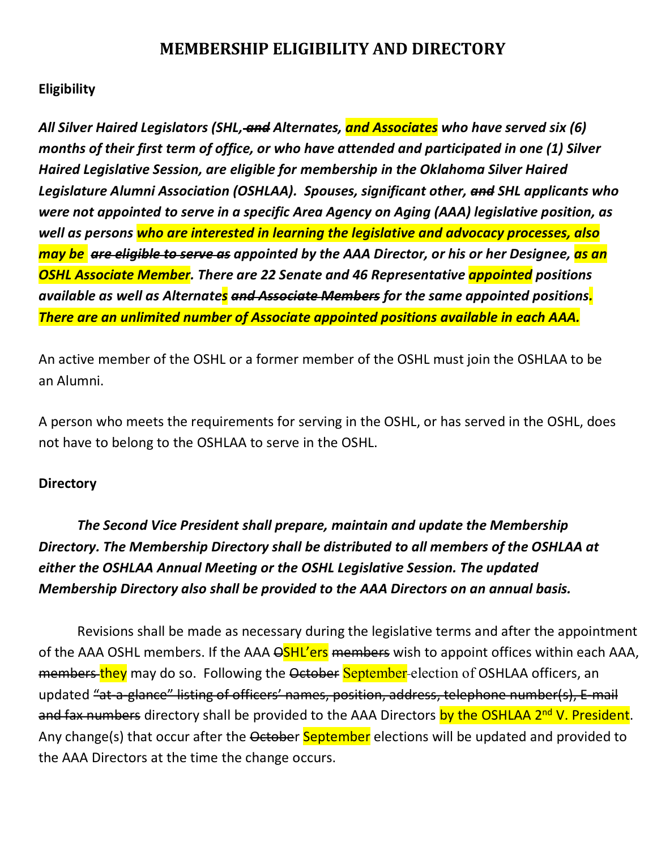# **MEMBERSHIP ELIGIBILITY AND DIRECTORY**

### **Eligibility**

*All Silver Haired Legislators (SHL, and Alternates, and Associates who have served six (6) months of their first term of office, or who have attended and participated in one (1) Silver Haired Legislative Session, are eligible for membership in the Oklahoma Silver Haired Legislature Alumni Association (OSHLAA). Spouses, significant other, and SHL applicants who were not appointed to serve in a specific Area Agency on Aging (AAA) legislative position, as well as persons who are interested in learning the legislative and advocacy processes, also may be are eligible to serve as appointed by the AAA Director, or his or her Designee, as an OSHL Associate Member. There are 22 Senate and 46 Representative appointed positions available as well as Alternates and Associate Members for the same appointed positions. There are an unlimited number of Associate appointed positions available in each AAA.* 

An active member of the OSHL or a former member of the OSHL must join the OSHLAA to be an Alumni.

A person who meets the requirements for serving in the OSHL, or has served in the OSHL, does not have to belong to the OSHLAA to serve in the OSHL.

### **Directory**

*The Second Vice President shall prepare, maintain and update the Membership Directory. The Membership Directory shall be distributed to all members of the OSHLAA at either the OSHLAA Annual Meeting or the OSHL Legislative Session. The updated Membership Directory also shall be provided to the AAA Directors on an annual basis.* 

Revisions shall be made as necessary during the legislative terms and after the appointment of the AAA OSHL members. If the AAA  $\Theta$ SHL'ers members wish to appoint offices within each AAA, members-they may do so. Following the October September-election of OSHLAA officers, an updated "at-a-glance" listing of officers' names, position, address, telephone number(s), E-mail and fax numbers directory shall be provided to the AAA Directors by the OSHLAA 2<sup>nd</sup> V. President. Any change(s) that occur after the October September elections will be updated and provided to the AAA Directors at the time the change occurs.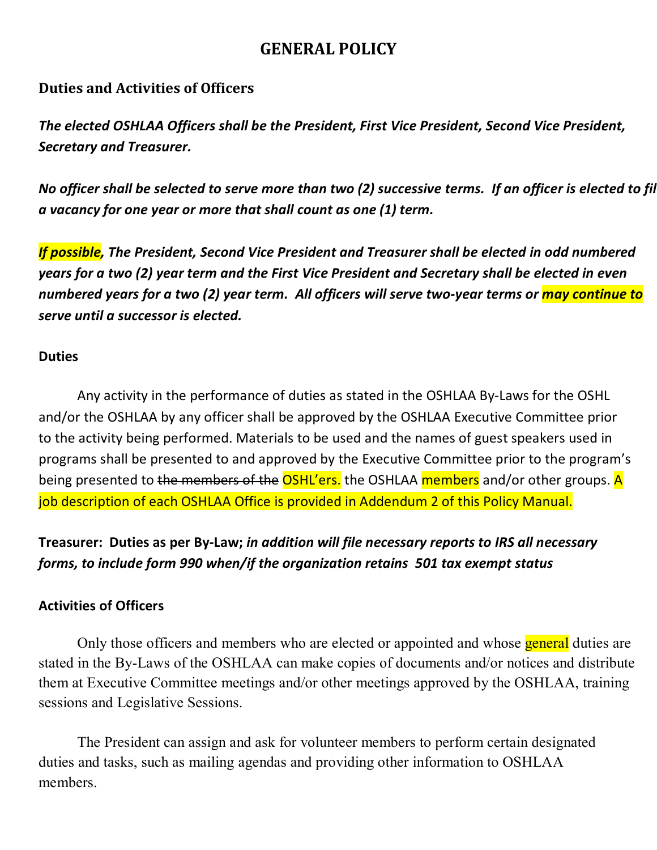# **GENERAL POLICY**

### **Duties and Activities of Officers**

*The elected OSHLAA Officers shall be the President, First Vice President, Second Vice President, Secretary and Treasurer.*

*No officer shall be selected to serve more than two (2) successive terms. If an officer is elected to fil a vacancy for one year or more that shall count as one (1) term.* 

*If possible, The President, Second Vice President and Treasurer shall be elected in odd numbered years for a two (2) year term and the First Vice President and Secretary shall be elected in even numbered years for a two (2) year term. All officers will serve two-year terms or may continue to serve until a successor is elected.* 

### **Duties**

Any activity in the performance of duties as stated in the OSHLAA By-Laws for the OSHL and/or the OSHLAA by any officer shall be approved by the OSHLAA Executive Committee prior to the activity being performed. Materials to be used and the names of guest speakers used in programs shall be presented to and approved by the Executive Committee prior to the program's being presented to the members of the OSHL'ers. the OSHLAA members and/or other groups. A job description of each OSHLAA Office is provided in Addendum 2 of this Policy Manual.

**Treasurer:****Duties as per By-Law;** *in addition will file necessary reports to IRS all necessary forms, to include form 990 when/if the organization retains 501 tax exempt status*

### **Activities of Officers**

Only those officers and members who are elected or appointed and whose **general** duties are stated in the By-Laws of the OSHLAA can make copies of documents and/or notices and distribute them at Executive Committee meetings and/or other meetings approved by the OSHLAA, training sessions and Legislative Sessions.

The President can assign and ask for volunteer members to perform certain designated duties and tasks, such as mailing agendas and providing other information to OSHLAA members.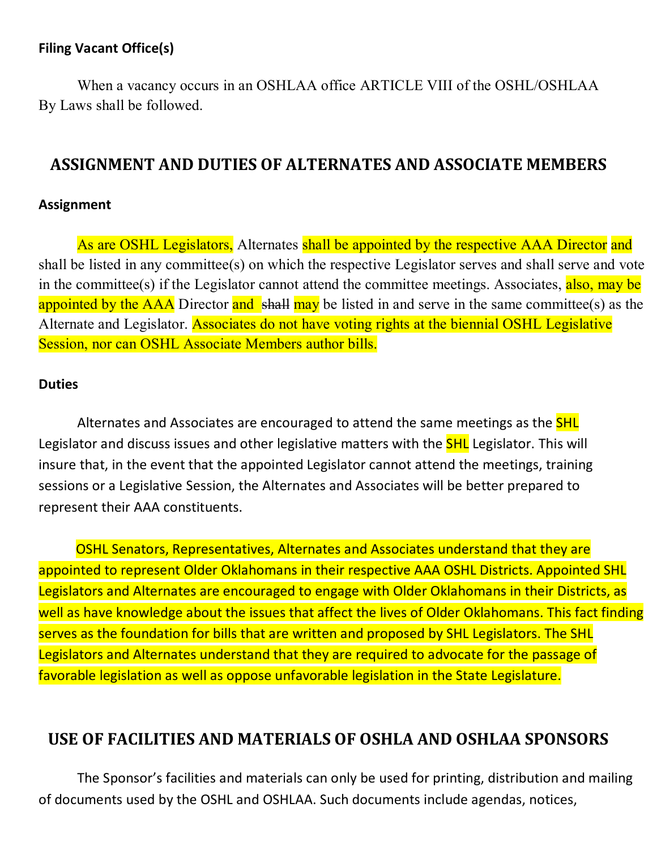### **Filing Vacant Office(s)**

When a vacancy occurs in an OSHLAA office ARTICLE VIII of the OSHL/OSHLAA By Laws shall be followed.

## **ASSIGNMENT AND DUTIES OF ALTERNATES AND ASSOCIATE MEMBERS**

### **Assignment**

As are OSHL Legislators, Alternates shall be appointed by the respective AAA Director and shall be listed in any committee(s) on which the respective Legislator serves and shall serve and vote in the committee(s) if the Legislator cannot attend the committee meetings. Associates, also, may be appointed by the AAA Director and shall may be listed in and serve in the same committee(s) as the Alternate and Legislator. Associates do not have voting rights at the biennial OSHL Legislative Session, nor can OSHL Associate Members author bills.

#### **Duties**

Alternates and Associates are encouraged to attend the same meetings as the **SHL** Legislator and discuss issues and other legislative matters with the **SHL** Legislator. This will insure that, in the event that the appointed Legislator cannot attend the meetings, training sessions or a Legislative Session, the Alternates and Associates will be better prepared to represent their AAA constituents.

 OSHL Senators, Representatives, Alternates and Associates understand that they are appointed to represent Older Oklahomans in their respective AAA OSHL Districts. Appointed SHL Legislators and Alternates are encouraged to engage with Older Oklahomans in their Districts, as well as have knowledge about the issues that affect the lives of Older Oklahomans. This fact finding serves as the foundation for bills that are written and proposed by SHL Legislators. The SHL Legislators and Alternates understand that they are required to advocate for the passage of favorable legislation as well as oppose unfavorable legislation in the State Legislature.

## **USE OF FACILITIES AND MATERIALS OF OSHLA AND OSHLAA SPONSORS**

The Sponsor's facilities and materials can only be used for printing, distribution and mailing of documents used by the OSHL and OSHLAA. Such documents include agendas, notices,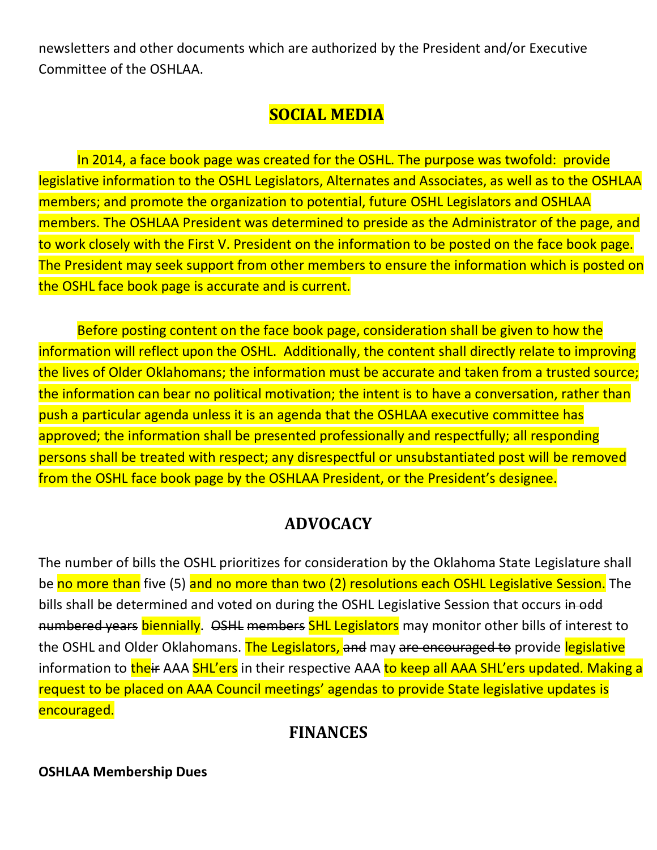newsletters and other documents which are authorized by the President and/or Executive Committee of the OSHLAA.

# **SOCIAL MEDIA**

In 2014, a face book page was created for the OSHL. The purpose was twofold: provide legislative information to the OSHL Legislators, Alternates and Associates, as well as to the OSHLAA members; and promote the organization to potential, future OSHL Legislators and OSHLAA members. The OSHLAA President was determined to preside as the Administrator of the page, and to work closely with the First V. President on the information to be posted on the face book page. The President may seek support from other members to ensure the information which is posted on the OSHL face book page is accurate and is current.

Before posting content on the face book page, consideration shall be given to how the information will reflect upon the OSHL. Additionally, the content shall directly relate to improving the lives of Older Oklahomans; the information must be accurate and taken from a trusted source; the information can bear no political motivation; the intent is to have a conversation, rather than push a particular agenda unless it is an agenda that the OSHLAA executive committee has approved; the information shall be presented professionally and respectfully; all responding persons shall be treated with respect; any disrespectful or unsubstantiated post will be removed from the OSHL face book page by the OSHLAA President, or the President's designee.

# **ADVOCACY**

The number of bills the OSHL prioritizes for consideration by the Oklahoma State Legislature shall be no more than five (5) and no more than two (2) resolutions each OSHL Legislative Session. The bills shall be determined and voted on during the OSHL Legislative Session that occurs in odd numbered years biennially. OSHL members SHL Legislators may monitor other bills of interest to the OSHL and Older Oklahomans. The Legislators, and may are encouraged to provide legislative information to their AAA SHL'ers in their respective AAA to keep all AAA SHL'ers updated. Making a request to be placed on AAA Council meetings' agendas to provide State legislative updates is encouraged.

# **FINANCES**

### **OSHLAA Membership Dues**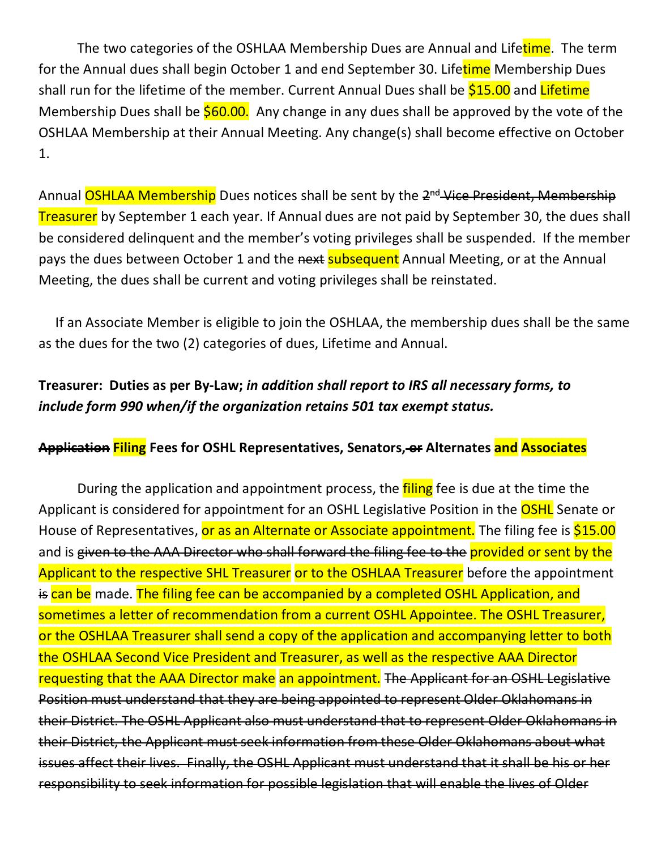The two categories of the OSHLAA Membership Dues are Annual and Lifetime. The term for the Annual dues shall begin October 1 and end September 30. Lifetime Membership Dues shall run for the lifetime of the member. Current Annual Dues shall be \$15.00 and Lifetime Membership Dues shall be  $$60.00$ . Any change in any dues shall be approved by the vote of the OSHLAA Membership at their Annual Meeting. Any change(s) shall become effective on October 1.

Annual OSHLAA Membership Dues notices shall be sent by the 2<sup>nd</sup> Vice President, Membership Treasurer by September 1 each year. If Annual dues are not paid by September 30, the dues shall be considered delinquent and the member's voting privileges shall be suspended. If the member pays the dues between October 1 and the next subsequent Annual Meeting, or at the Annual Meeting, the dues shall be current and voting privileges shall be reinstated.

 If an Associate Member is eligible to join the OSHLAA, the membership dues shall be the same as the dues for the two (2) categories of dues, Lifetime and Annual.

## **Treasurer:****Duties as per By-Law;** *in addition shall report to IRS all necessary forms, to include form 990 when/if the organization retains 501 tax exempt status.*

### **Application Filing Fees for OSHL Representatives, Senators, or Alternates and Associates**

During the application and appointment process, the *filing* fee is due at the time the Applicant is considered for appointment for an OSHL Legislative Position in the **OSHL** Senate or House of Representatives, or as an Alternate or Associate appointment. The filing fee is \$15.00 and is given to the AAA Director who shall forward the filing fee to the provided or sent by the Applicant to the respective SHL Treasurer or to the OSHLAA Treasurer before the appointment is can be made. The filing fee can be accompanied by a completed OSHL Application, and sometimes a letter of recommendation from a current OSHL Appointee. The OSHL Treasurer, or the OSHLAA Treasurer shall send a copy of the application and accompanying letter to both the OSHLAA Second Vice President and Treasurer, as well as the respective AAA Director requesting that the AAA Director make an appointment. The Applicant for an OSHL Legislative Position must understand that they are being appointed to represent Older Oklahomans in their District. The OSHL Applicant also must understand that to represent Older Oklahomans in their District, the Applicant must seek information from these Older Oklahomans about what issues affect their lives. Finally, the OSHL Applicant must understand that it shall be his or her responsibility to seek information for possible legislation that will enable the lives of Older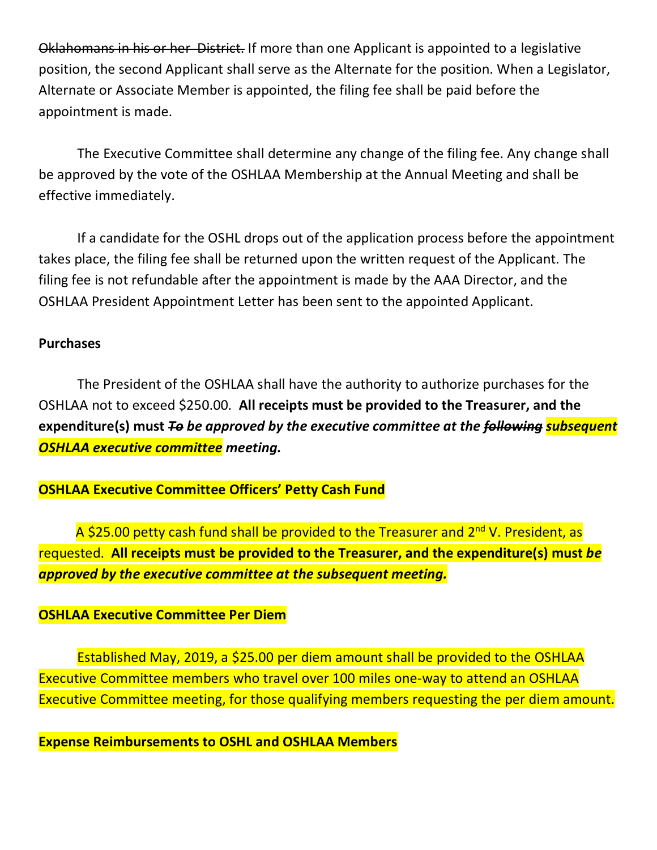Oklahomans in his or her District. If more than one Applicant is appointed to a legislative position, the second Applicant shall serve as the Alternate for the position. When a Legislator, Alternate or Associate Member is appointed, the filing fee shall be paid before the appointment is made.

The Executive Committee shall determine any change of the filing fee. Any change shall be approved by the vote of the OSHLAA Membership at the Annual Meeting and shall be effective immediately.

If a candidate for the OSHL drops out of the application process before the appointment takes place, the filing fee shall be returned upon the written request of the Applicant. The filing fee is not refundable after the appointment is made by the AAA Director, and the OSHLAA President Appointment Letter has been sent to the appointed Applicant.

### **Purchases**

The President of the OSHLAA shall have the authority to authorize purchases for the OSHLAA not to exceed \$250.00. **All receipts must be provided to the Treasurer, and the expenditure(s) must** *To be approved by the executive committee at the following subsequent OSHLAA executive committee meeting.*

### **OSHLAA Executive Committee Officers' Petty Cash Fund**

A \$25.00 petty cash fund shall be provided to the Treasurer and 2<sup>nd</sup> V. President, as requested. **All receipts must be provided to the Treasurer, and the expenditure(s) must** *be approved by the executive committee at the subsequent meeting.*

### **OSHLAA Executive Committee Per Diem**

Established May, 2019, a \$25.00 per diem amount shall be provided to the OSHLAA Executive Committee members who travel over 100 miles one-way to attend an OSHLAA Executive Committee meeting, for those qualifying members requesting the per diem amount.

**Expense Reimbursements to OSHL and OSHLAA Members**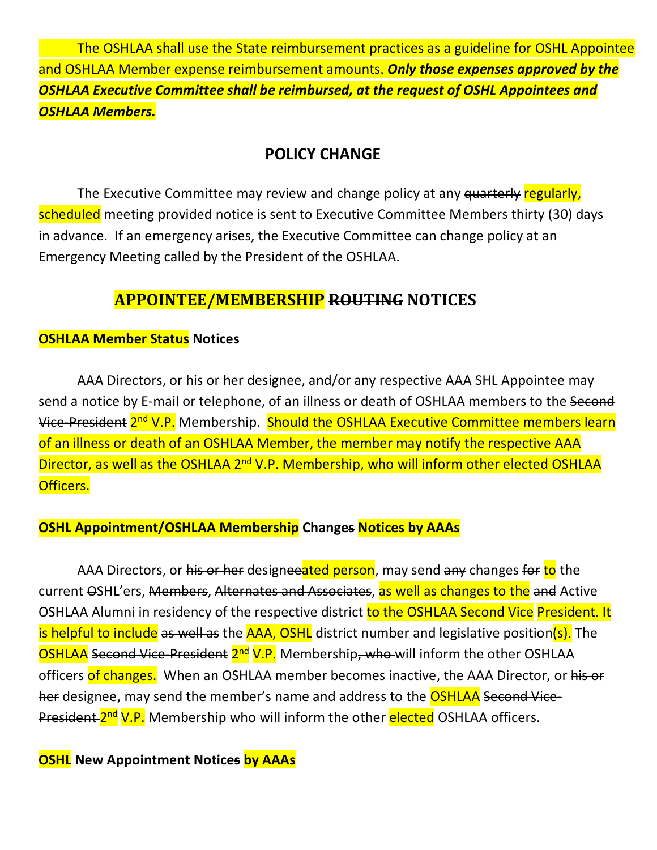The OSHLAA shall use the State reimbursement practices as a guideline for OSHL Appointee and OSHLAA Member expense reimbursement amounts. *Only those expenses approved by the OSHLAA Executive Committee shall be reimbursed, at the request of OSHL Appointees and OSHLAA Members.*

### **POLICY CHANGE**

The Executive Committee may review and change policy at any quarterly regularly, scheduled meeting provided notice is sent to Executive Committee Members thirty (30) days in advance. If an emergency arises, the Executive Committee can change policy at an Emergency Meeting called by the President of the OSHLAA.

## **APPOINTEE/MEMBERSHIP ROUTING NOTICES**

### **OSHLAA Member Status Notices**

AAA Directors, or his or her designee, and/or any respective AAA SHL Appointee may send a notice by E-mail or telephone, of an illness or death of OSHLAA members to the Second Vice-President 2<sup>nd</sup> V.P. Membership. Should the OSHLAA Executive Committee members learn of an illness or death of an OSHLAA Member, the member may notify the respective AAA Director, as well as the OSHLAA 2<sup>nd</sup> V.P. Membership, who will inform other elected OSHLAA Officers.

### **OSHL Appointment/OSHLAA Membership Changes Notices by AAAs**

AAA Directors, or his or her designeeated person, may send any changes for to the current OSHL'ers, Members, Alternates and Associates, as well as changes to the and Active OSHLAA Alumni in residency of the respective district to the OSHLAA Second Vice President. It is helpful to include as well as the AAA, OSHL district number and legislative position(s). The OSHLAA Second Vice-President 2<sup>nd</sup> V.P. Membership, who will inform the other OSHLAA officers of changes. When an OSHLAA member becomes inactive, the AAA Director, or his or her designee, may send the member's name and address to the **OSHLAA Second Vice-**President 2<sup>nd</sup> V.P. Membership who will inform the other elected OSHLAA officers.

### **OSHL New Appointment Notices by AAAs**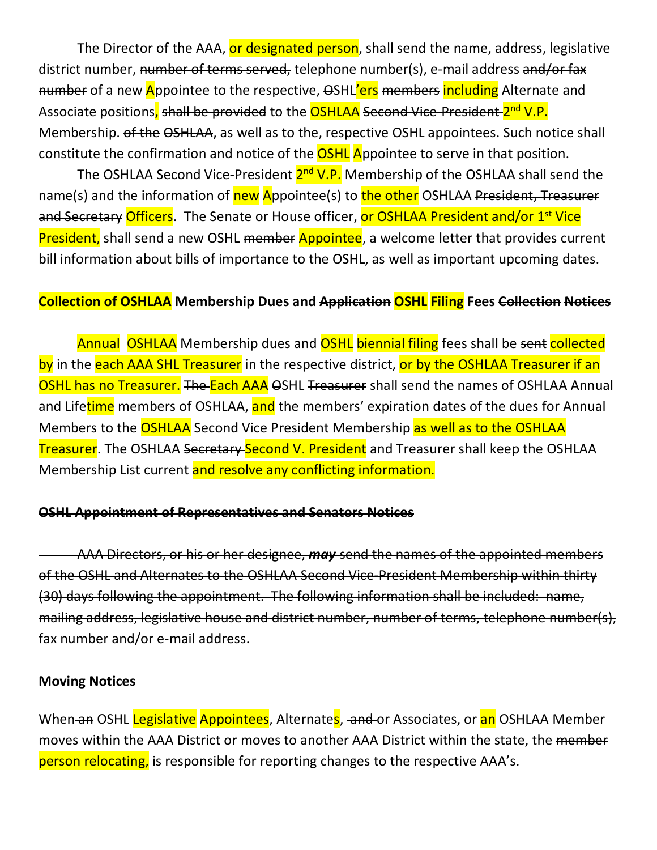The Director of the AAA, or designated person, shall send the name, address, legislative district number, number of terms served, telephone number(s), e-mail address and/or fax number of a new Appointee to the respective,  $\Theta$ SHL'ers members including Alternate and Associate positions, shall be provided to the **OSHLAA** Second Vice-President-2<sup>nd</sup> V.P. Membership. of the OSHLAA, as well as to the, respective OSHL appointees. Such notice shall constitute the confirmation and notice of the **OSHL** Appointee to serve in that position.

The OSHLAA Second Vice-President 2<sup>nd</sup> V.P. Membership of the OSHLAA shall send the name(s) and the information of new Appointee(s) to the other OSHLAA President, Treasurer and Secretary Officers. The Senate or House officer, or OSHLAA President and/or 1<sup>st</sup> Vice President, shall send a new OSHL member Appointee, a welcome letter that provides current bill information about bills of importance to the OSHL, as well as important upcoming dates.

### **Collection of OSHLAA Membership Dues and Application OSHL Filing Fees Collection Notices**

Annual OSHLAA Membership dues and OSHL biennial filing fees shall be sent collected by in the each AAA SHL Treasurer in the respective district, or by the OSHLAA Treasurer if an OSHL has no Treasurer. The Each AAA OSHL Treasurer shall send the names of OSHLAA Annual and Lifetime members of OSHLAA, and the members' expiration dates of the dues for Annual Members to the **OSHLAA** Second Vice President Membership as well as to the OSHLAA **Treasurer.** The OSHLAA Secretary Second V. President and Treasurer shall keep the OSHLAA Membership List current and resolve any conflicting information.

#### **OSHL Appointment of Representatives and Senators Notices**

AAA Directors, or his or her designee, *may* send the names of the appointed members of the OSHL and Alternates to the OSHLAA Second Vice-President Membership within thirty (30) days following the appointment. The following information shall be included: name, mailing address, legislative house and district number, number of terms, telephone number(s), fax number and/or e-mail address.

### **Moving Notices**

When an OSHL Legislative Appointees, Alternates, and or Associates, or an OSHLAA Member moves within the AAA District or moves to another AAA District within the state, the member person relocating, is responsible for reporting changes to the respective AAA's.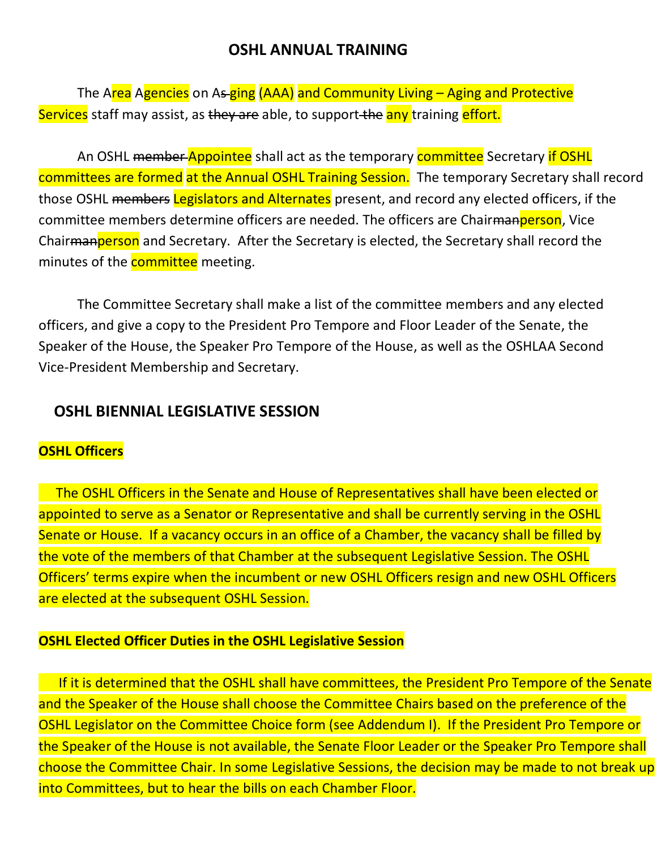### **OSHL ANNUAL TRAINING**

The Area Agencies on As-ging (AAA) and Community Living – Aging and Protective Services staff may assist, as they are able, to support the any training effort.

An OSHL member Appointee shall act as the temporary committee Secretary if OSHL committees are formed at the Annual OSHL Training Session. The temporary Secretary shall record those OSHL members Legislators and Alternates present, and record any elected officers, if the committee members determine officers are needed. The officers are Chair<del>manperson</del>, Vice Chair<del>manperson</del> and Secretary. After the Secretary is elected, the Secretary shall record the minutes of the **committee** meeting.

The Committee Secretary shall make a list of the committee members and any elected officers, and give a copy to the President Pro Tempore and Floor Leader of the Senate, the Speaker of the House, the Speaker Pro Tempore of the House, as well as the OSHLAA Second Vice-President Membership and Secretary.

## **OSHL BIENNIAL LEGISLATIVE SESSION**

### **OSHL Officers**

 The OSHL Officers in the Senate and House of Representatives shall have been elected or appointed to serve as a Senator or Representative and shall be currently serving in the OSHL Senate or House. If a vacancy occurs in an office of a Chamber, the vacancy shall be filled by the vote of the members of that Chamber at the subsequent Legislative Session. The OSHL Officers' terms expire when the incumbent or new OSHL Officers resign and new OSHL Officers are elected at the subsequent OSHL Session.

### **OSHL Elected Officer Duties in the OSHL Legislative Session**

If it is determined that the OSHL shall have committees, the President Pro Tempore of the Senate and the Speaker of the House shall choose the Committee Chairs based on the preference of the OSHL Legislator on the Committee Choice form (see Addendum I). If the President Pro Tempore or the Speaker of the House is not available, the Senate Floor Leader or the Speaker Pro Tempore shall choose the Committee Chair. In some Legislative Sessions, the decision may be made to not break up into Committees, but to hear the bills on each Chamber Floor.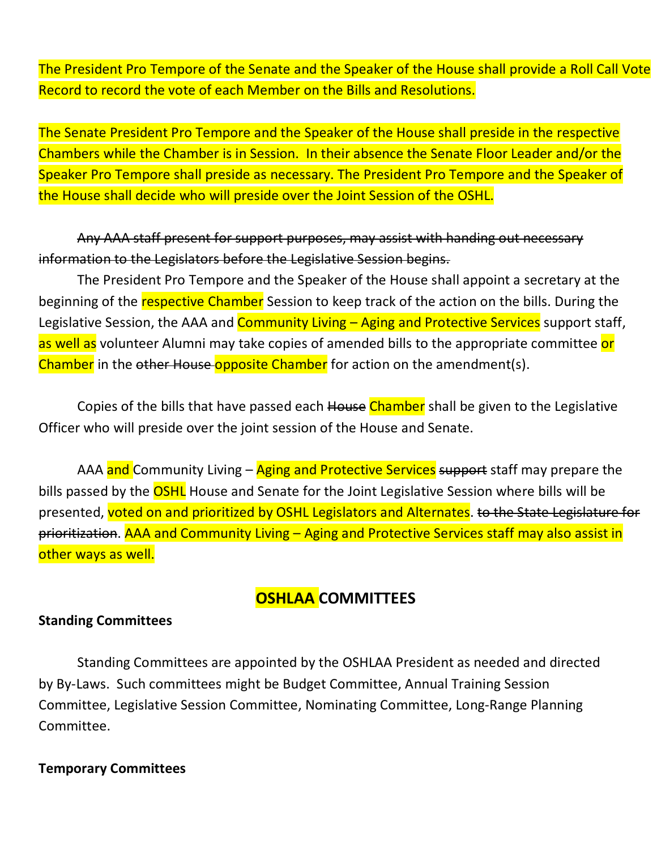The President Pro Tempore of the Senate and the Speaker of the House shall provide a Roll Call Vote Record to record the vote of each Member on the Bills and Resolutions.

The Senate President Pro Tempore and the Speaker of the House shall preside in the respective Chambers while the Chamber is in Session. In their absence the Senate Floor Leader and/or the Speaker Pro Tempore shall preside as necessary. The President Pro Tempore and the Speaker of the House shall decide who will preside over the Joint Session of the OSHL.

Any AAA staff present for support purposes, may assist with handing out necessary information to the Legislators before the Legislative Session begins.

The President Pro Tempore and the Speaker of the House shall appoint a secretary at the beginning of the respective Chamber Session to keep track of the action on the bills. During the Legislative Session, the AAA and Community Living – Aging and Protective Services support staff, as well as volunteer Alumni may take copies of amended bills to the appropriate committee or Chamber in the other House-opposite Chamber for action on the amendment(s).

Copies of the bills that have passed each House Chamber shall be given to the Legislative Officer who will preside over the joint session of the House and Senate.

AAA and Community Living – Aging and Protective Services support staff may prepare the bills passed by the **OSHL** House and Senate for the Joint Legislative Session where bills will be presented, voted on and prioritized by OSHL Legislators and Alternates. to the State Legislature for prioritization. AAA and Community Living – Aging and Protective Services staff may also assist in other ways as well.

# **OSHLAA COMMITTEES**

### **Standing Committees**

Standing Committees are appointed by the OSHLAA President as needed and directed by By-Laws. Such committees might be Budget Committee, Annual Training Session Committee, Legislative Session Committee, Nominating Committee, Long-Range Planning Committee.

#### **Temporary Committees**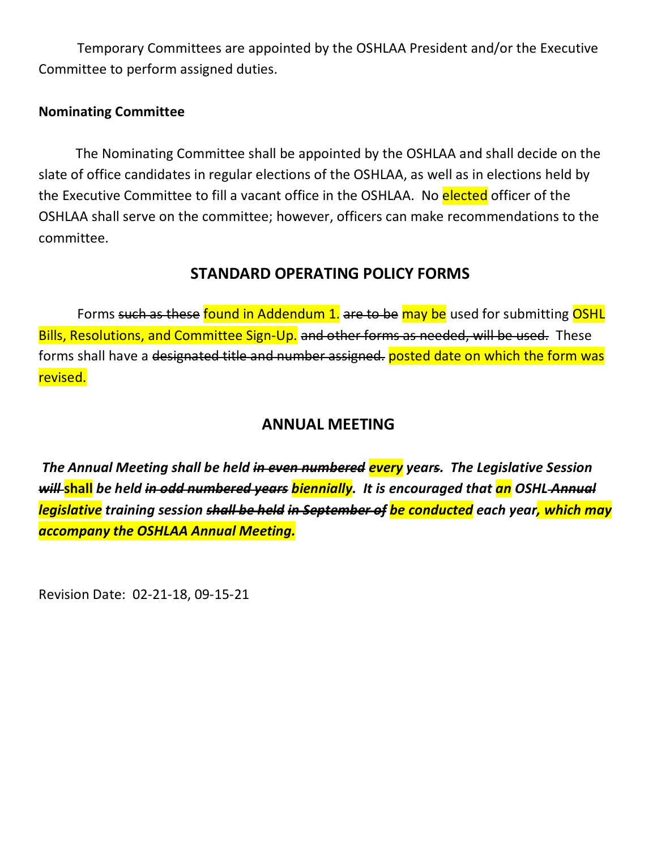Temporary Committees are appointed by the OSHLAA President and/or the Executive Committee to perform assigned duties.

### **Nominating Committee**

The Nominating Committee shall be appointed by the OSHLAA and shall decide on the slate of office candidates in regular elections of the OSHLAA, as well as in elections held by the Executive Committee to fill a vacant office in the OSHLAA. No elected officer of the OSHLAA shall serve on the committee; however, officers can make recommendations to the committee.

### **STANDARD OPERATING POLICY FORMS**

Forms such as these found in Addendum 1. are to be may be used for submitting OSHL Bills, Resolutions, and Committee Sign-Up. and other forms as needed, will be used. These forms shall have a <del>designated title and number assigned.</del> posted date on which the form was revised.

### **ANNUAL MEETING**

*The Annual Meeting shall be held in even numbered every years. The Legislative Session will* **shall** *be held in odd numbered years biennially. It is encouraged that an OSHL Annual legislative training session shall be held in September of be conducted each year, which may accompany the OSHLAA Annual Meeting.* 

Revision Date: 02-21-18, 09-15-21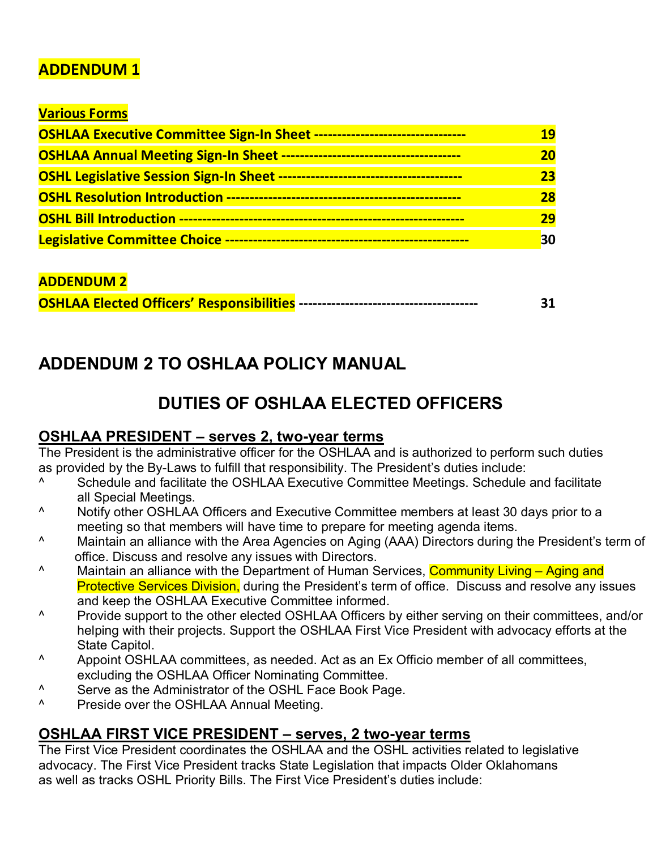## **ADDENDUM 1**

### **Various Forms**

| <b>OSHLAA Executive Committee Sign-In Sheet ---</b> | 19 |
|-----------------------------------------------------|----|
| <b>OSHLAA Annual Meeting Sign-In Sheet --</b>       | 20 |
| <b>OSHL Legislative Session Sign-In Sheet --</b>    | 23 |
|                                                     | 28 |
| <b>OSHL Bill Introduction -</b>                     | 29 |
| <b>Legislative Committee Choice -</b>               | 30 |

### **ADDENDUM 2**

# **ADDENDUM 2 TO OSHLAA POLICY MANUAL**

# **DUTIES OF OSHLAA ELECTED OFFICERS**

### **OSHLAA PRESIDENT – serves 2, two-year terms**

The President is the administrative officer for the OSHLAA and is authorized to perform such duties as provided by the By-Laws to fulfill that responsibility. The President's duties include:

- <sup>^</sup> Schedule and facilitate the OSHLAA Executive Committee Meetings. Schedule and facilitate all Special Meetings.
- ^ Notify other OSHLAA Officers and Executive Committee members at least 30 days prior to a meeting so that members will have time to prepare for meeting agenda items.
- ^ Maintain an alliance with the Area Agencies on Aging (AAA) Directors during the President's term of office. Discuss and resolve any issues with Directors.
- <sup>^</sup> Maintain an alliance with the Department of Human Services, **Community Living Aging and** Protective Services Division, during the President's term of office. Discuss and resolve any issues and keep the OSHLAA Executive Committee informed.
- ^ Provide support to the other elected OSHLAA Officers by either serving on their committees, and/or helping with their projects. Support the OSHLAA First Vice President with advocacy efforts at the State Capitol.
- ^ Appoint OSHLAA committees, as needed. Act as an Ex Officio member of all committees, excluding the OSHLAA Officer Nominating Committee.
- <sup>^</sup> Serve as the Administrator of the OSHL Face Book Page.<br><sup>^</sup> Preside over the OSHLAA Annual Meeting
- Preside over the OSHLAA Annual Meeting.

### **OSHLAA FIRST VICE PRESIDENT – serves, 2 two-year terms**

The First Vice President coordinates the OSHLAA and the OSHL activities related to legislative advocacy. The First Vice President tracks State Legislation that impacts Older Oklahomans as well as tracks OSHL Priority Bills. The First Vice President's duties include: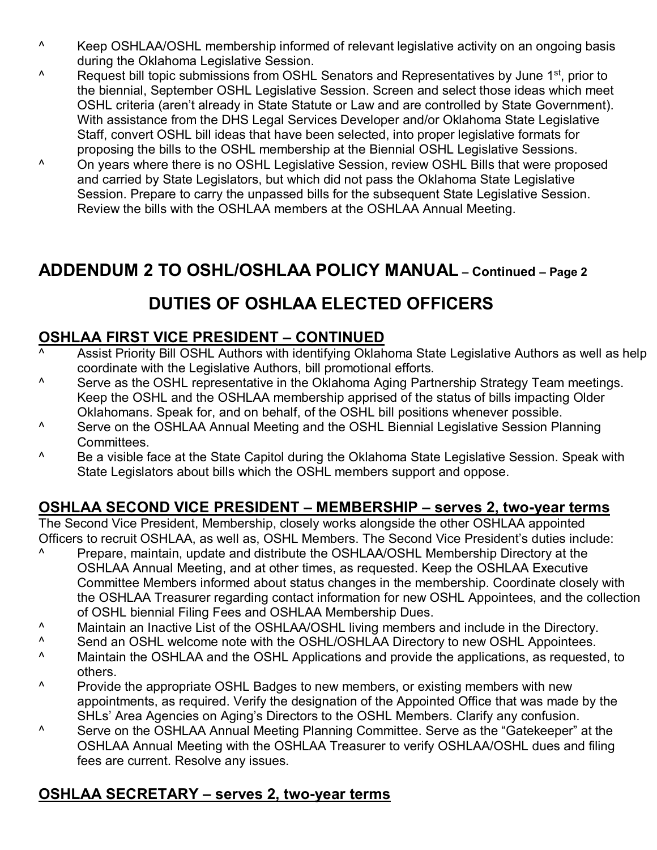- ^ Keep OSHLAA/OSHL membership informed of relevant legislative activity on an ongoing basis during the Oklahoma Legislative Session.
- <sup>^</sup> Request bill topic submissions from OSHL Senators and Representatives by June 1<sup>st</sup>, prior to the biennial, September OSHL Legislative Session. Screen and select those ideas which meet OSHL criteria (aren't already in State Statute or Law and are controlled by State Government). With assistance from the DHS Legal Services Developer and/or Oklahoma State Legislative Staff, convert OSHL bill ideas that have been selected, into proper legislative formats for proposing the bills to the OSHL membership at the Biennial OSHL Legislative Sessions.
- ^ On years where there is no OSHL Legislative Session, review OSHL Bills that were proposed and carried by State Legislators, but which did not pass the Oklahoma State Legislative Session. Prepare to carry the unpassed bills for the subsequent State Legislative Session. Review the bills with the OSHLAA members at the OSHLAA Annual Meeting.

# **ADDENDUM 2 TO OSHL/OSHLAA POLICY MANUAL – Continued – Page 2**

# **DUTIES OF OSHLAA ELECTED OFFICERS**

### **OSHLAA FIRST VICE PRESIDENT – CONTINUED**

- Assist Priority Bill OSHL Authors with identifying Oklahoma State Legislative Authors as well as help coordinate with the Legislative Authors, bill promotional efforts.
- ^ Serve as the OSHL representative in the Oklahoma Aging Partnership Strategy Team meetings. Keep the OSHL and the OSHLAA membership apprised of the status of bills impacting Older Oklahomans. Speak for, and on behalf, of the OSHL bill positions whenever possible.
- ^ Serve on the OSHLAA Annual Meeting and the OSHL Biennial Legislative Session Planning Committees.
- <sup>1</sup> Be a visible face at the State Capitol during the Oklahoma State Legislative Session. Speak with State Legislators about bills which the OSHL members support and oppose.

## **OSHLAA SECOND VICE PRESIDENT – MEMBERSHIP – serves 2, two-year terms**

The Second Vice President, Membership, closely works alongside the other OSHLAA appointed Officers to recruit OSHLAA, as well as, OSHL Members. The Second Vice President's duties include:

- ^ Prepare, maintain, update and distribute the OSHLAA/OSHL Membership Directory at the OSHLAA Annual Meeting, and at other times, as requested. Keep the OSHLAA Executive Committee Members informed about status changes in the membership. Coordinate closely with the OSHLAA Treasurer regarding contact information for new OSHL Appointees, and the collection of OSHL biennial Filing Fees and OSHLAA Membership Dues.
- ^ Maintain an Inactive List of the OSHLAA/OSHL living members and include in the Directory.
- <sup>^</sup> Send an OSHL welcome note with the OSHL/OSHLAA Directory to new OSHL Appointees.<br><sup>^</sup> Maintain the OSHLAA and the OSHL Applications and provide the applications, as requeste
- ^ Maintain the OSHLAA and the OSHL Applications and provide the applications, as requested, to others.
- ^ Provide the appropriate OSHL Badges to new members, or existing members with new appointments, as required. Verify the designation of the Appointed Office that was made by the SHLs' Area Agencies on Aging's Directors to the OSHL Members. Clarify any confusion.
- ^ Serve on the OSHLAA Annual Meeting Planning Committee. Serve as the "Gatekeeper" at the OSHLAA Annual Meeting with the OSHLAA Treasurer to verify OSHLAA/OSHL dues and filing fees are current. Resolve any issues.

## **OSHLAA SECRETARY – serves 2, two-year terms**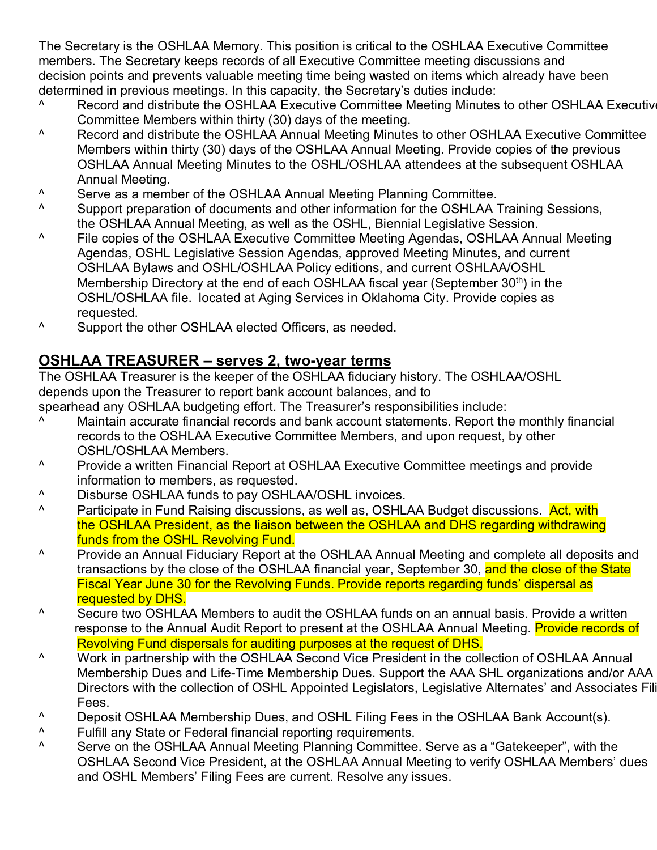The Secretary is the OSHLAA Memory. This position is critical to the OSHLAA Executive Committee members. The Secretary keeps records of all Executive Committee meeting discussions and decision points and prevents valuable meeting time being wasted on items which already have been determined in previous meetings. In this capacity, the Secretary's duties include:

- <sup>^</sup> Record and distribute the OSHLAA Executive Committee Meeting Minutes to other OSHLAA Executive Committee Members within thirty (30) days of the meeting.
- ^ Record and distribute the OSHLAA Annual Meeting Minutes to other OSHLAA Executive Committee Members within thirty (30) days of the OSHLAA Annual Meeting. Provide copies of the previous OSHLAA Annual Meeting Minutes to the OSHL/OSHLAA attendees at the subsequent OSHLAA Annual Meeting.
- <sup>^</sup> Serve as a member of the OSHLAA Annual Meeting Planning Committee.<br><sup>^</sup> Support preparation of documents and other information for the OSHLAA
- Support preparation of documents and other information for the OSHLAA Training Sessions, the OSHLAA Annual Meeting, as well as the OSHL, Biennial Legislative Session.
- ^ File copies of the OSHLAA Executive Committee Meeting Agendas, OSHLAA Annual Meeting Agendas, OSHL Legislative Session Agendas, approved Meeting Minutes, and current OSHLAA Bylaws and OSHL/OSHLAA Policy editions, and current OSHLAA/OSHL Membership Directory at the end of each OSHLAA fiscal year (September 30<sup>th</sup>) in the OSHL/OSHLAA file. located at Aging Services in Oklahoma City. Provide copies as requested.
- ^ Support the other OSHLAA elected Officers, as needed.

## **OSHLAA TREASURER – serves 2, two-year terms**

The OSHLAA Treasurer is the keeper of the OSHLAA fiduciary history. The OSHLAA/OSHL depends upon the Treasurer to report bank account balances, and to

spearhead any OSHLAA budgeting effort. The Treasurer's responsibilities include:

- ^ Maintain accurate financial records and bank account statements. Report the monthly financial records to the OSHLAA Executive Committee Members, and upon request, by other OSHL/OSHLAA Members.
- ^ Provide a written Financial Report at OSHLAA Executive Committee meetings and provide information to members, as requested.
- ^ Disburse OSHLAA funds to pay OSHLAA/OSHL invoices.<br>^ Particinate in Fund Raising discussions, as well as OSHL
- Participate in Fund Raising discussions, as well as, OSHLAA Budget discussions. Act, with the OSHLAA President, as the liaison between the OSHLAA and DHS regarding withdrawing funds from the OSHL Revolving Fund.
- ^ Provide an Annual Fiduciary Report at the OSHLAA Annual Meeting and complete all deposits and transactions by the close of the OSHLAA financial year, September 30, and the close of the State Fiscal Year June 30 for the Revolving Funds. Provide reports regarding funds' dispersal as requested by DHS.
- ^ Secure two OSHLAA Members to audit the OSHLAA funds on an annual basis. Provide a written response to the Annual Audit Report to present at the OSHLAA Annual Meeting. Provide records of Revolving Fund dispersals for auditing purposes at the request of DHS.
- ^ Work in partnership with the OSHLAA Second Vice President in the collection of OSHLAA Annual Membership Dues and Life-Time Membership Dues. Support the AAA SHL organizations and/or AAA Directors with the collection of OSHL Appointed Legislators, Legislative Alternates' and Associates Fili Fees.
- ^ Deposit OSHLAA Membership Dues, and OSHL Filing Fees in the OSHLAA Bank Account(s).
- <sup>^</sup> Fulfill any State or Federal financial reporting requirements.<br><sup>^</sup> Serve on the OSHLAA Annual Meeting Planning Committee
- Serve on the OSHLAA Annual Meeting Planning Committee. Serve as a "Gatekeeper", with the OSHLAA Second Vice President, at the OSHLAA Annual Meeting to verify OSHLAA Members' dues and OSHL Members' Filing Fees are current. Resolve any issues.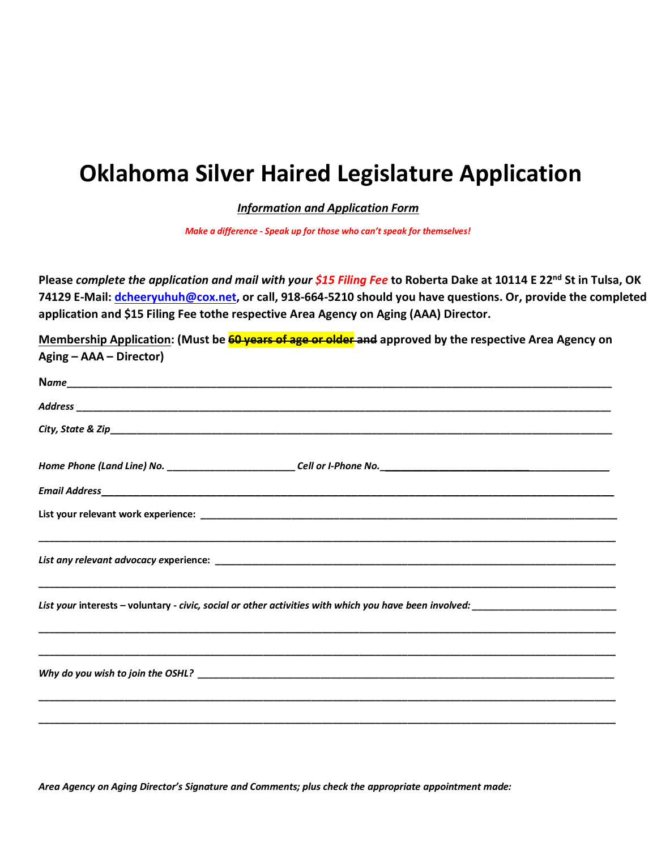# **Oklahoma Silver Haired Legislature Application**

*Information and Application Form* 

*Make a difference - Speak up for those who can't speak for themselves!* 

**Please** *complete the application and mail with your \$15 Filing Fee* **to Roberta Dake at 10114 E 22nd St in Tulsa, OK 74129 E-Mail: [dcheeryuhuh@cox.net,](mailto:dcheeryuhuh@cox.net) or call, 918-664-5210 should you have questions. Or, provide the completed application and \$15 Filing Fee tothe respective Area Agency on Aging (AAA) Director.** 

**Membership Application: (Must be 60 years of age or older and approved by the respective Area Agency on Aging – AAA – Director)**

*Area Agency on Aging Director's Signature and Comments; plus check the appropriate appointment made:*